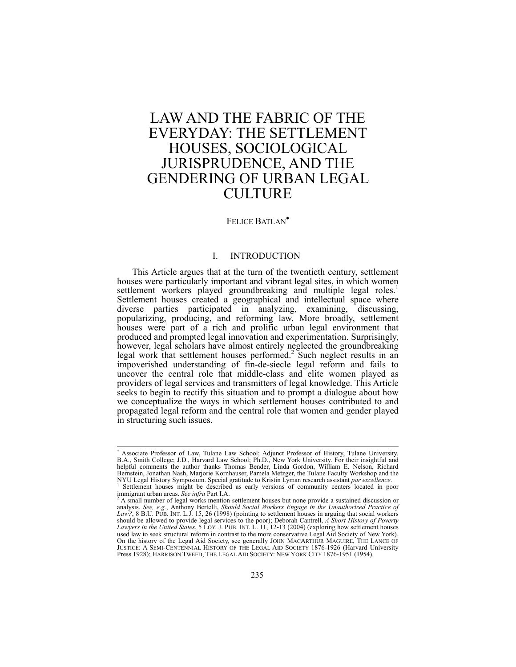# LAW AND THE FABRIC OF THE EVERYDAY: THE SETTLEMENT HOUSES, SOCIOLOGICAL JURISPRUDENCE, AND THE GENDERING OF URBAN LEGAL CULTURE

# FELICE BATLAN<sup>\*</sup>

## I. INTRODUCTION

This Article argues that at the turn of the twentieth century, settlement houses were particularly important and vibrant legal sites, in which women settlement workers played groundbreaking and multiple legal roles.<sup>1</sup> Settlement houses created a geographical and intellectual space where diverse parties participated in analyzing, examining, discussing, popularizing, producing, and reforming law. More broadly, settlement houses were part of a rich and prolific urban legal environment that produced and prompted legal innovation and experimentation. Surprisingly, however, legal scholars have almost entirely neglected the groundbreaking legal work that settlement houses performed.<sup>2</sup> Such neglect results in an impoverished understanding of fin-de-siecle legal reform and fails to uncover the central role that middle-class and elite women played as providers of legal services and transmitters of legal knowledge. This Article seeks to begin to rectify this situation and to prompt a dialogue about how we conceptualize the ways in which settlement houses contributed to and propagated legal reform and the central role that women and gender played in structuring such issues.

∗ Associate Professor of Law, Tulane Law School; Adjunct Professor of History, Tulane University. B.A., Smith College; J.D., Harvard Law School; Ph.D., New York University. For their insightful and helpful comments the author thanks Thomas Bender, Linda Gordon, William E. Nelson, Richard Bernstein, Jonathan Nash, Marjorie Kornhauser, Pamela Metzger, the Tulane Faculty Workshop and the NYU Legal History Symposium. Special gratitude to Kristin Lyman research assistant *par excellence*. 1 Settlement houses might be described as early versions of community centers located in poor

immigrant urban areas. *See infra* Part I.A. 2

A small number of legal works mention settlement houses but none provide a sustained discussion or analysis. *See, e.g.*, Anthony Bertelli, *Should Social Workers Engage in the Unauthorized Practice of Law?*, 8 B.U. PUB. INT. L.J. 15, 26 (1998) (pointing to settlement houses in arguing that social workers should be allowed to provide legal services to the poor); Deborah Cantrell, *A Short History of Poverty Lawyers in the United States*, 5 LOY. J. PUB. INT. L. 11, 12-13 (2004) (exploring how settlement houses used law to seek structural reform in contrast to the more conservative Legal Aid Society of New York). On the history of the Legal Aid Society, see generally JOHN MACARTHUR MAGUIRE, THE LANCE OF JUSTICE: A SEMI-CENTENNIAL HISTORY OF THE LEGAL AID SOCIETY 1876-1926 (Harvard University Press 1928); HARRISON TWEED, THE LEGAL AID SOCIETY: NEW YORK CITY 1876-1951 (1954).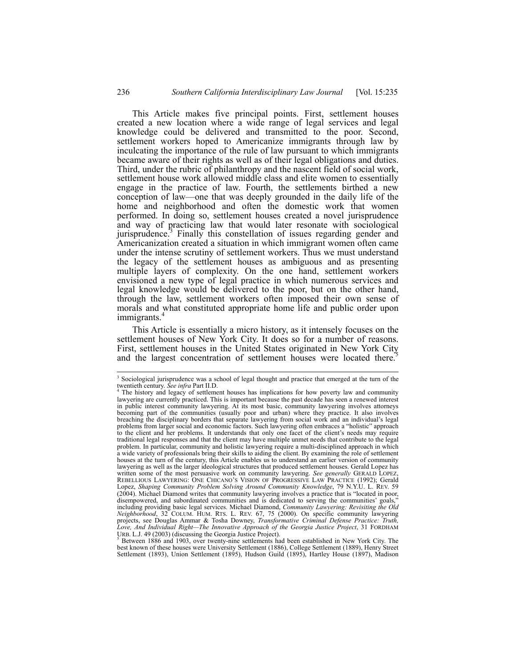This Article makes five principal points. First, settlement houses created a new location where a wide range of legal services and legal knowledge could be delivered and transmitted to the poor. Second, settlement workers hoped to Americanize immigrants through law by inculcating the importance of the rule of law pursuant to which immigrants became aware of their rights as well as of their legal obligations and duties. Third, under the rubric of philanthropy and the nascent field of social work, settlement house work allowed middle class and elite women to essentially engage in the practice of law. Fourth, the settlements birthed a new conception of law—one that was deeply grounded in the daily life of the home and neighborhood and often the domestic work that women performed. In doing so, settlement houses created a novel jurisprudence and way of practicing law that would later resonate with sociological jurisprudence.<sup>3</sup> Finally this constellation of issues regarding gender and Americanization created a situation in which immigrant women often came under the intense scrutiny of settlement workers. Thus we must understand the legacy of the settlement houses as ambiguous and as presenting multiple layers of complexity. On the one hand, settlement workers envisioned a new type of legal practice in which numerous services and legal knowledge would be delivered to the poor, but on the other hand, through the law, settlement workers often imposed their own sense of morals and what constituted appropriate home life and public order upon immigrants.

This Article is essentially a micro history, as it intensely focuses on the settlement houses of New York City. It does so for a number of reasons. First, settlement houses in the United States originated in New York City and the largest concentration of settlement houses were located there.<sup>5</sup>

 Between 1886 and 1903, over twenty-nine settlements had been established in New York City. The best known of these houses were University Settlement (1886), College Settlement (1889), Henry Street Settlement (1893), Union Settlement (1895), Hudson Guild (1895), Hartley House (1897), Madison

 <sup>3</sup> Sociological jurisprudence was a school of legal thought and practice that emerged at the turn of the twentieth century. *See infra* Part II.D.<br>twentieth century. *See infra* Part II.D. 4.1 The history and *all* and *a* 

The history and legacy of settlement houses has implications for how poverty law and community lawyering are currently practiced. This is important because the past decade has seen a renewed interest in public interest community lawyering. At its most basic, community lawyering involves attorneys becoming part of the communities (usually poor and urban) where they practice. It also involves breaching the disciplinary borders that separate lawyering from social work and an individual's legal problems from larger social and economic factors. Such lawyering often embraces a "holistic" approach to the client and her problems. It understands that only one facet of the client's needs may require traditional legal responses and that the client may have multiple unmet needs that contribute to the legal problem. In particular, community and holistic lawyering require a multi-disciplined approach in which a wide variety of professionals bring their skills to aiding the client. By examining the role of settlement houses at the turn of the century, this Article enables us to understand an earlier version of community lawyering as well as the larger ideological structures that produced settlement houses. Gerald Lopez has written some of the most persuasive work on community lawyering. See generally GERALD LOPEZ, REBELLIOUS LAWYERING: ONE CHICANO'S VISION OF PROGRESSIVE LAW PRACTICE (1992); Gerald Lopez, *Shaping Community Problem Solving Around Community Knowledge*, 79 N.Y.U. L. REV. 59 (2004). Michael Diamond writes that community lawyering involves a practice that is "located in poor, disempowered, and subordinated communities and is dedicated to serving the communities' goals, including providing basic legal services. Michael Diamond, *Community Lawyering: Revisiting the Old Neighborhood*, 32 COLUM. HUM. RTS. L. REV. 67, 75 (2000). On specific community lawyering projects, see Douglas Ammar & Tosha Downey, *Transformative Criminal Defense Practice: Truth, Love, And Individual Right—The Innovative Approach of the Georgia Justice Project*, 31 FORDHAM URB. L.J. 49 (2003) (discussing the Georgia Justice Project).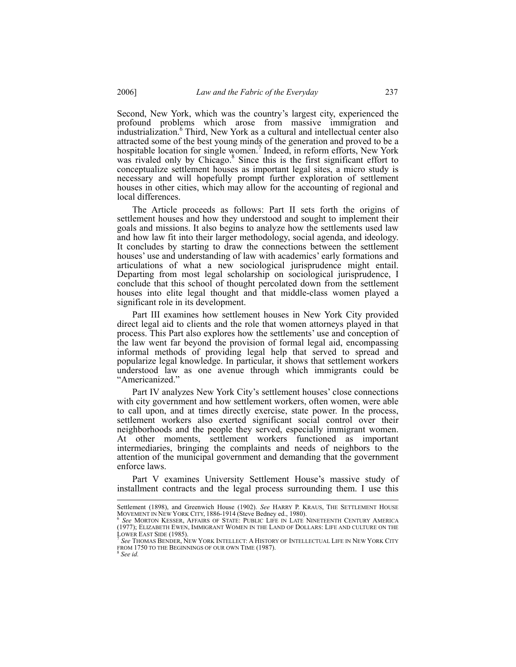Second, New York, which was the country's largest city, experienced the profound problems which arose from massive immigration and industrialization.<sup>6</sup> Third, New York as a cultural and intellectual center also attracted some of the best young minds of the generation and proved to be a hospitable location for single women.<sup>7</sup> Indeed, in reform efforts, New York was rivaled only by Chicago.<sup>8</sup> Since this is the first significant effort to conceptualize settlement houses as important legal sites, a micro study is necessary and will hopefully prompt further exploration of settlement houses in other cities, which may allow for the accounting of regional and local differences.

The Article proceeds as follows: Part II sets forth the origins of settlement houses and how they understood and sought to implement their goals and missions. It also begins to analyze how the settlements used law and how law fit into their larger methodology, social agenda, and ideology. It concludes by starting to draw the connections between the settlement houses' use and understanding of law with academics' early formations and articulations of what a new sociological jurisprudence might entail. Departing from most legal scholarship on sociological jurisprudence, I conclude that this school of thought percolated down from the settlement houses into elite legal thought and that middle-class women played a significant role in its development.

Part III examines how settlement houses in New York City provided direct legal aid to clients and the role that women attorneys played in that process. This Part also explores how the settlements' use and conception of the law went far beyond the provision of formal legal aid, encompassing informal methods of providing legal help that served to spread and popularize legal knowledge. In particular, it shows that settlement workers understood law as one avenue through which immigrants could be "Americanized."

Part IV analyzes New York City's settlement houses' close connections with city government and how settlement workers, often women, were able to call upon, and at times directly exercise, state power. In the process, settlement workers also exerted significant social control over their neighborhoods and the people they served, especially immigrant women. At other moments, settlement workers functioned as important intermediaries, bringing the complaints and needs of neighbors to the attention of the municipal government and demanding that the government enforce laws.

Part V examines University Settlement House's massive study of installment contracts and the legal process surrounding them. I use this

Settlement (1898), and Greenwich House (1902). *See* HARRY P. KRAUS, THE SETTLEMENT HOUSE

See MORTON KESSER, AFFAIRS OF STATE: PUBLIC LIFE IN LATE NINETEENTH CENTURY AMERICA (1977); ELIZABETH EWEN, IMMIGRANT WOMEN IN THE LAND OF DOLLARS: LIFE AND CULTURE ON THE LOWER EAST SIDE (1985).

See THOMAS BENDER, NEW YORK INTELLECT: A HISTORY OF INTELLECTUAL LIFE IN NEW YORK CITY FROM 1750 TO THE BEGINNINGS OF OUR OWN TIME (1987). 8 *See id.*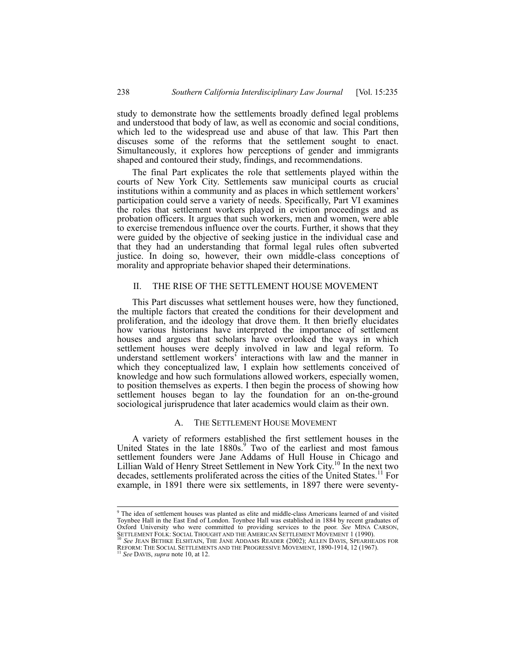study to demonstrate how the settlements broadly defined legal problems and understood that body of law, as well as economic and social conditions, which led to the widespread use and abuse of that law. This Part then discuses some of the reforms that the settlement sought to enact. Simultaneously, it explores how perceptions of gender and immigrants shaped and contoured their study, findings, and recommendations.

The final Part explicates the role that settlements played within the courts of New York City. Settlements saw municipal courts as crucial institutions within a community and as places in which settlement workers' participation could serve a variety of needs. Specifically, Part VI examines the roles that settlement workers played in eviction proceedings and as probation officers. It argues that such workers, men and women, were able to exercise tremendous influence over the courts. Further, it shows that they were guided by the objective of seeking justice in the individual case and that they had an understanding that formal legal rules often subverted justice. In doing so, however, their own middle-class conceptions of morality and appropriate behavior shaped their determinations.

## II. THE RISE OF THE SETTLEMENT HOUSE MOVEMENT

This Part discusses what settlement houses were, how they functioned, the multiple factors that created the conditions for their development and proliferation, and the ideology that drove them. It then briefly elucidates how various historians have interpreted the importance of settlement houses and argues that scholars have overlooked the ways in which settlement houses were deeply involved in law and legal reform. To understand settlement workers' interactions with law and the manner in which they conceptualized law, I explain how settlements conceived of knowledge and how such formulations allowed workers, especially women, to position themselves as experts. I then begin the process of showing how settlement houses began to lay the foundation for an on-the-ground sociological jurisprudence that later academics would claim as their own.

## A. THE SETTLEMENT HOUSE MOVEMENT

A variety of reformers established the first settlement houses in the United States in the late  $1880s$ .<sup>9</sup> Two of the earliest and most famous settlement founders were Jane Addams of Hull House in Chicago and Lillian Wald of Henry Street Settlement in New York City.<sup>10</sup> In the next two decades, settlements proliferated across the cities of the United States.<sup>11</sup> For example, in 1891 there were six settlements, in 1897 there were seventy-

<sup>-&</sup>lt;br>9 <sup>9</sup> The idea of settlement houses was planted as elite and middle-class Americans learned of and visited Toynbee Hall in the East End of London. Toynbee Hall was established in 1884 by recent graduates of Oxford University who were committed to providing services to the poor. *See* MINA CARSON, SARGE CHITCHITY WHO WELL COMMUTTED TO PROVIDING SETTLEMENT MOVEMENT 1 (1990).<br>SETTLEMENT FOLK: SOCIAL THOUGHT AND THE AMERICAN SETTLEMENT MOVEMENT 1 (1990).<br><sup>10</sup> *See* JEAN BETHKE ELSHTAIN, THE JANE ADDAMS READER (2002); A

REFORM: THE SOCIAL SETTLEMENTS AND THE PROGRESSIVE MOVEMENT, 1890-1914, 12 (1967). 11 *See* DAVIS, *supra* note 10, at 12.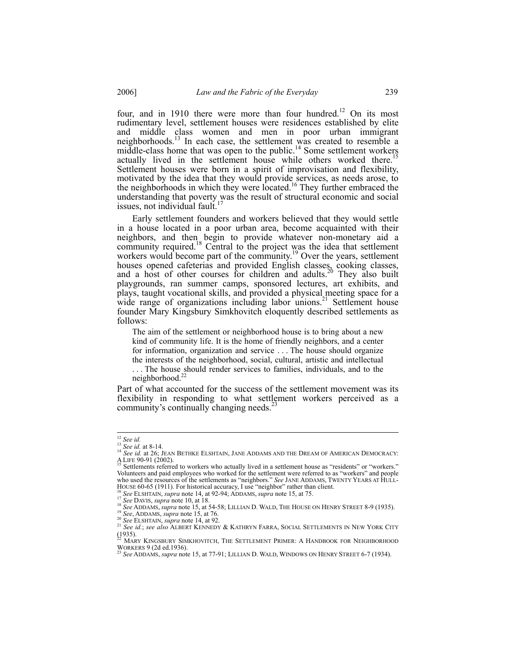four, and in 1910 there were more than four hundred.<sup>12</sup> On its most rudimentary level, settlement houses were residences established by elite and middle class women and men in poor urban immigrant neighborhoods.13 In each case, the settlement was created to resemble a middle-class home that was open to the public.<sup>14</sup> Some settlement workers actually lived in the settlement house while others worked there. Settlement houses were born in a spirit of improvisation and flexibility, motivated by the idea that they would provide services, as needs arose, to the neighborhoods in which they were located.<sup>16</sup> They further embraced the understanding that poverty was the result of structural economic and social issues, not individual fault.<sup>1</sup>

Early settlement founders and workers believed that they would settle in a house located in a poor urban area, become acquainted with their neighbors, and then begin to provide whatever non-monetary aid a community required.<sup>18</sup> Central to the project was the idea that settlement workers would become part of the community.<sup>19</sup> Over the years, settlement houses opened cafeterias and provided English classes, cooking classes, and a host of other courses for children and adults.<sup>20</sup> They also built playgrounds, ran summer camps, sponsored lectures, art exhibits, and plays, taught vocational skills, and provided a physical meeting space for a wide range of organizations including labor unions.<sup>21</sup> Settlement house founder Mary Kingsbury Simkhovitch eloquently described settlements as follows:

The aim of the settlement or neighborhood house is to bring about a new kind of community life. It is the home of friendly neighbors, and a center for information, organization and service . . . The house should organize the interests of the neighborhood, social, cultural, artistic and intellectual

. . . The house should render services to families, individuals, and to the neighborhood.<sup>22</sup>

Part of what accounted for the success of the settlement movement was its flexibility in responding to what settlement workers perceived as a community's continually changing needs.<sup>23</sup>

<sup>&</sup>lt;sup>12</sup> See id.<br><sup>13</sup> See id. at 8-14.<br><sup>14</sup> See id. at 26; JEAN BETHKE ELSHTAIN, JANE ADDAMS AND THE DREAM OF AMERICAN DEMOCRACY:<br>A LIFE 90-91 (2002).<br><sup>15</sup> Settlements referred to workers who actually lived in a settlement ho

Volunteers and paid employees who worked for the settlement were referred to as "workers" and people who used the resources of the settlements as "neighbors." *See* JANE ADDAMS, TWENTY YEARS AT HULL-HOUSE 60-65 (1911). For historical accuracy, I use "neighbor" rather than client.

<sup>&</sup>lt;sup>16</sup> See ELSHTAIN, *supra* note 14, at 92-94; ADDAMS, *supra* note 15, at 75.<br><sup>17</sup> See DAVIS, *supra* note 10, at 18.<br><sup>17</sup> See ADDAMS, *supra* note 15, at 54-58; LILLIAN D. WALD, THE HOUSE ON HENRY STREET 8-9 (1935).<br><sup>19</sup>

 $(1935)$ .

<sup>22</sup> MARY KINGSBURY SIMKHOVITCH, THE SETTLEMENT PRIMER: A HANDBOOK FOR NEIGHBORHOOD WORKERS 9 (2d ed.1936).<br><sup>23</sup> *See* ADDAMS, *supra* note 15, at 77-91; LILLIAN D. WALD, WINDOWS ON HENRY STREET 6-7 (1934).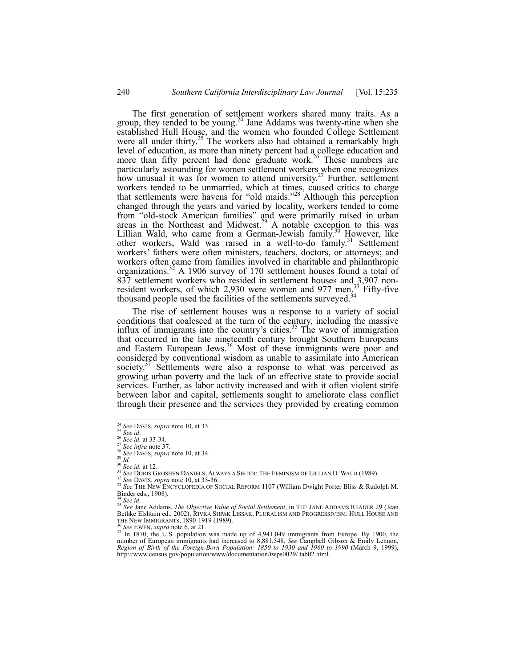The first generation of settlement workers shared many traits. As a group, they tended to be young.<sup>24</sup> Jane Addams was twenty-nine when she established Hull House, and the women who founded College Settlement were all under thirty.<sup>25</sup> The workers also had obtained a remarkably high level of education, as more than ninety percent had a college education and more than fifty percent had done graduate work.<sup>26</sup> These numbers are particularly astounding for women settlement workers when one recognizes how unusual it was for women to attend university.<sup>27</sup> Further, settlement workers tended to be unmarried, which at times, caused critics to charge that settlements were havens for "old maids."28 Although this perception changed through the years and varied by locality, workers tended to come from "old-stock American families" and were primarily raised in urban areas in the Northeast and Midwest.<sup>29</sup> A notable exception to this was Lillian Wald, who came from a German-Jewish family.<sup>30</sup> However, like other workers, Wald was raised in a well-to-do family.<sup>31</sup> Settlement workers' fathers were often ministers, teachers, doctors, or attorneys; and workers often came from families involved in charitable and philanthropic organizations.<sup>32</sup> A 1906 survey of 170 settlement houses found a total of 837 settlement workers who resided in settlement houses and 3,907 nonresident workers, of which 2,930 were women and 977 men.<sup>33</sup> Fifty-five thousand people used the facilities of the settlements surveyed.<sup>3</sup>

The rise of settlement houses was a response to a variety of social conditions that coalesced at the turn of the century, including the massive influx of immigrants into the country's cities.<sup>35</sup> The wave of immigration that occurred in the late nineteenth century brought Southern Europeans and Eastern European Jews.<sup>36</sup> Most of these immigrants were poor and considered by conventional wisdom as unable to assimilate into American society.<sup>37</sup> Settlements were also a response to what was perceived as growing urban poverty and the lack of an effective state to provide social services. Further, as labor activity increased and with it often violent strife between labor and capital, settlements sought to ameliorate class conflict through their presence and the services they provided by creating common

<sup>&</sup>lt;sup>24</sup> See DAVIS, *supra* note 10, at 33.<br>
<sup>25</sup> See id.<br>
<sup>27</sup> See infra note 37.<br>
<sup>27</sup> See infra note 37.<br>
<sup>27</sup> See id. at 33-34.<br>
<sup>27</sup> See DAVIS, *supra* note 10, at 34.<br>
<sup>31</sup> See DAVIS GROSHEN DANIELS, ALWAYS A SISTER: TH Binder eds., 1908).

<sup>&</sup>lt;sup>34</sup> See id.<br><sup>35</sup> See Jane Addams, *The Objective Value of Social Settlement*, in THE JANE ADDAMS READER 29 (Jean Bethke Elshtain ed., 2002); RIVKA SHPAK LISSAK, PLURALISM AND PROGRESSIVISM: HULL HOUSE AND THE NEW IMMIGRANTS, 1890-1919 (1989).<br><sup>36</sup> *See* EWEN, *supra* note 6, at 21.<br><sup>37</sup> In 1870, the U.S. population was made up of 4,941,049 immigrants from Europe. By 1900, the

number of European immigrants had increased to 8,881,548. *See* Campbell Gibson & Emily Lennon, *Region of Birth of the Foreign-Born Population: 1850 to 1930 and 1960 to 1990* (March 9, 1999), http://www.census.gov/population/www/documentation/twps0029/ tab02.html.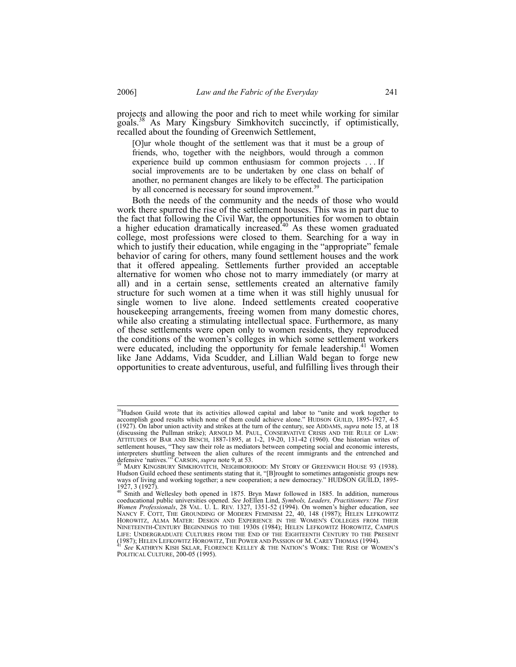projects and allowing the poor and rich to meet while working for similar goals.38 As Mary Kingsbury Simkhovitch succinctly, if optimistically, recalled about the founding of Greenwich Settlement,

[O]ur whole thought of the settlement was that it must be a group of friends, who, together with the neighbors, would through a common experience build up common enthusiasm for common projects . . . If social improvements are to be undertaken by one class on behalf of another, no permanent changes are likely to be effected. The participation by all concerned is necessary for sound improvement.<sup>39</sup>

Both the needs of the community and the needs of those who would work there spurred the rise of the settlement houses. This was in part due to the fact that following the Civil War, the opportunities for women to obtain a higher education dramatically increased.<sup>40</sup> As these women graduated college, most professions were closed to them. Searching for a way in which to justify their education, while engaging in the "appropriate" female behavior of caring for others, many found settlement houses and the work that it offered appealing. Settlements further provided an acceptable alternative for women who chose not to marry immediately (or marry at all) and in a certain sense, settlements created an alternative family structure for such women at a time when it was still highly unusual for single women to live alone. Indeed settlements created cooperative housekeeping arrangements, freeing women from many domestic chores, while also creating a stimulating intellectual space. Furthermore, as many of these settlements were open only to women residents, they reproduced the conditions of the women's colleges in which some settlement workers were educated, including the opportunity for female leadership.<sup>41</sup> Women like Jane Addams, Vida Scudder, and Lillian Wald began to forge new opportunities to create adventurous, useful, and fulfilling lives through their

<sup>&</sup>lt;sup>38</sup>Hudson Guild wrote that its activities allowed capital and labor to "unite and work together to accomplish good results which none of them could achieve alone." HUDSON GUILD, 1895-1927, 4-5 (1927). On labor union activity and strikes at the turn of the century, see ADDAMS, *supra* note 15, at 18 (discussing the Pullman strike); ARNOLD M. PAUL, CONSERVATIVE CRISIS AND THE RULE OF LAW:<br>ATTITUDES OF BAR AND BENCH, 1887-1895, at 1-2, 19-20, 131-42 (1960). One historian writes of<br>settlement houses, "They saw their role interpreters shuttling between the alien cultures of the recent immigrants and the entrenched and defensive 'natives," CARSON, *supra* note 9, at 53.

MARY KINGSBURY SIMKHOVITCH, NEIGHBORHOOD: MY STORY OF GREENWICH HOUSE 93 (1938). Hudson Guild echoed these sentiments stating that it, "[B]rought to sometimes antagonistic groups new ways of living and working together; a new cooperation; a new democracy." HUDSON GUILD, 1895-  $1927, 3 (1927)$ 

<sup>40</sup> Smith and Wellesley both opened in 1875. Bryn Mawr followed in 1885. In addition, numerous coeducational public universities opened. *See* JoEllen Lind, *Symbols, Leaders, Practitioners: The First Women Professionals*, 28 VAL. U. L. REV. 1327, 1351-52 (1994). On women's higher education, see NANCY F. COTT, THE GROUNDING OF MODERN FEMINISM 22, 40, 148 (1987); HELEN LEFKOWITZ HOROWITZ, ALMA MATER: DESIGN AND EXPERIENCE IN THE WOMEN'S COLLEGES FROM THEIR NINETEENTH-CENTURY BEGINNINGS TO THE 1930S (1984); HELEN LEFKOWITZ HOROWITZ, CAMPUS LIFE: UNDERGRADUATE CULTURES FROM THE END OF THE EIGHTEENTH CENTURY TO THE PRESENT (1987); HELEN LEFKOWITZ HOROWITZ, THE POWER AND PASSION OF M. CAREY THOMAS (1994). <sup>41</sup> *See* KATHRYN KISH SKLAR, FLORENCE KELLEY & THE NATION'S WORK: THE RISE OF WOMEN'S

POLITICAL CULTURE, 200-05 (1995).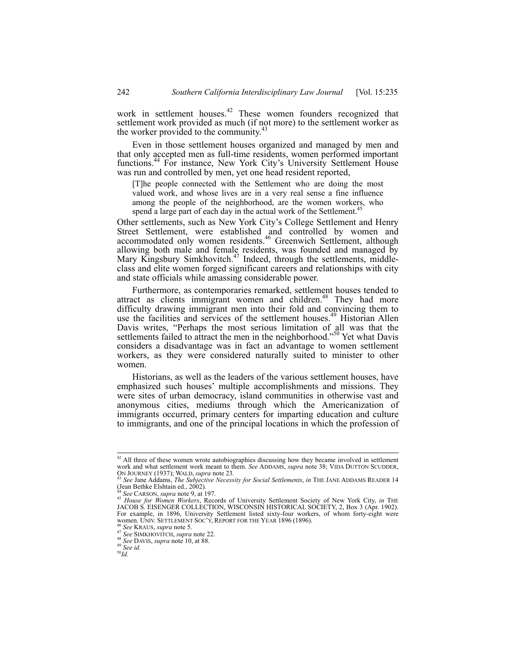work in settlement houses.<sup>42</sup> These women founders recognized that settlement work provided as much (if not more) to the settlement worker as the worker provided to the community. $4$ 

Even in those settlement houses organized and managed by men and that only accepted men as full-time residents, women performed important functions.<sup>44</sup> For instance, New York City's University Settlement House was run and controlled by men, yet one head resident reported,

[T]he people connected with the Settlement who are doing the most valued work, and whose lives are in a very real sense a fine influence among the people of the neighborhood, are the women workers, who spend a large part of each day in the actual work of the Settlement.<sup>4</sup>

Other settlements, such as New York City's College Settlement and Henry Street Settlement, were established and controlled by women and accommodated only women residents.<sup>46</sup> Greenwich Settlement, although allowing both male and female residents, was founded and managed by Mary Kingsbury Simkhovitch.<sup>47</sup> Indeed, through the settlements, middleclass and elite women forged significant careers and relationships with city and state officials while amassing considerable power.

Furthermore, as contemporaries remarked, settlement houses tended to attract as clients immigrant women and children.<sup>48</sup> They had more difficulty drawing immigrant men into their fold and convincing them to use the facilities and services of the settlement houses.<sup>49</sup> Historian Allen Davis writes, "Perhaps the most serious limitation of all was that the settlements failed to attract the men in the neighborhood."<sup>50</sup> Yet what Davis considers a disadvantage was in fact an advantage to women settlement workers, as they were considered naturally suited to minister to other women.

Historians, as well as the leaders of the various settlement houses, have emphasized such houses' multiple accomplishments and missions. They were sites of urban democracy, island communities in otherwise vast and anonymous cities, mediums through which the Americanization of immigrants occurred, primary centers for imparting education and culture to immigrants, and one of the principal locations in which the profession of

<sup>&</sup>lt;sup>42</sup> All three of these women wrote autobiographies discussing how they became involved in settlement work and what settlement work meant to them. *See* ADDAMS, *supra* note 38; VIDA DUTTON SCUDDER, *QN* JOURNEY (1937); WALD, *supra* note 23.

ON JOURNEY (1937); WALD, *supra* note 23. <sup>43</sup> *See* Jane Addams, *The Subjective Necessity for Social Settlements*, *in* THE JANE ADDAMS READER 14 (Jean Bethke Elshtain ed., 2002).<br><sup>44</sup> See CARSON, *supra* note 9, at 197.

<sup>&</sup>lt;sup>44</sup> See CARSON, *supra* note 9, at 197.<br><sup>45</sup> *House for Women Workers*, Records of University Settlement Society of New York City, *in* THE<br>JACOB S. EISENGER COLLECTION, WISCONSIN HISTORICAL SOCIETY, 2, Box 3 (Apr. 1902). For example, in 1896, University Settlement listed sixty-four workers, of whom forty-eight were From HIVIV. SETTLEMENT SOC'Y, REPORT FOR THE YEAR 1896 (1896).<br>
<sup>46</sup> See KRAUS, *supra* note 5.<br>
<sup>48</sup> See NINKHOVITCH, *supra* note 22.<br>
<sup>48</sup> See DAVIS, *supra* note 10, at 88.<br>
<sup>49</sup> See DAVIS, *supra* note 10, at 88.<br>
<sup>4</sup>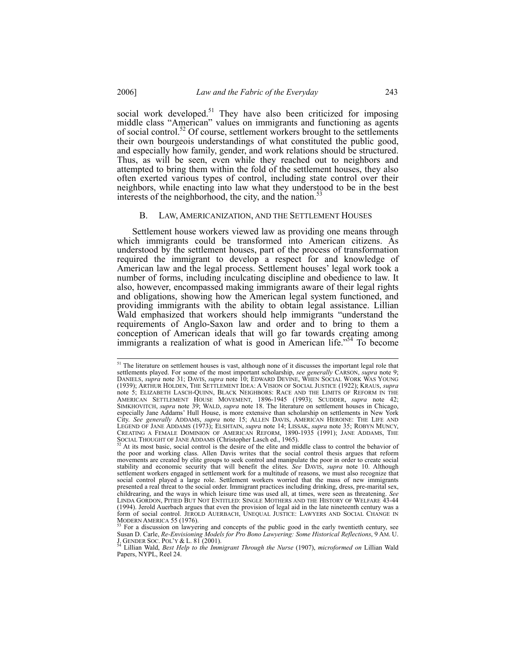social work developed.<sup>51</sup> They have also been criticized for imposing middle class "American" values on immigrants and functioning as agents of social control.<sup>52</sup> Of course, settlement workers brought to the settlements their own bourgeois understandings of what constituted the public good, and especially how family, gender, and work relations should be structured. Thus, as will be seen, even while they reached out to neighbors and attempted to bring them within the fold of the settlement houses, they also often exerted various types of control, including state control over their neighbors, while enacting into law what they understood to be in the best interests of the neighborhood, the city, and the nation.<sup>5</sup>

## B. LAW, AMERICANIZATION, AND THE SETTLEMENT HOUSES

Settlement house workers viewed law as providing one means through which immigrants could be transformed into American citizens. As understood by the settlement houses, part of the process of transformation required the immigrant to develop a respect for and knowledge of American law and the legal process. Settlement houses' legal work took a number of forms, including inculcating discipline and obedience to law. It also, however, encompassed making immigrants aware of their legal rights and obligations, showing how the American legal system functioned, and providing immigrants with the ability to obtain legal assistance. Lillian Wald emphasized that workers should help immigrants "understand the requirements of Anglo-Saxon law and order and to bring to them a conception of American ideals that will go far towards creating among immigrants a realization of what is good in American life."<sup>54</sup> To become

<sup>&</sup>lt;sup>51</sup> The literature on settlement houses is vast, although none of it discusses the important legal role that settlements played. For some of the most important scholarship, *see generally* CARSON, *supra* note 9; DANIELS, *supra* note 31; DAVIS, *supra* note 10; EDWARD DEVINE, WHEN SOCIAL WORK WAS YOUNG (1939); ARTHUR HOLDEN, THE SETTLEMENT IDEA: A VISION OF SOCIAL JUSTICE (1922); KRAUS, *supra* note 5; ELIZABETH LASCH-QUINN, BLACK NEIGHBORS: RACE AND THE LIMITS OF REFORM IN THE AMERICAN SETTLEMENT HOUSE MOVEMENT, 1896-1945 (1993); SCUDDER, *supra* note 42; SIMKHOVITCH, *supra* note 39; WALD, *supra* note 18. The literature on settlement houses in Chicago, especially Jane Addams' Hull House, is more extensive than scholarship on settlements in New York City. *See generally* ADDAMS, *supra* note 15; ALLEN DAVIS, AMERICAN HEROINE: THE LIFE AND LEGEND OF JANE ADDAMS (1973); ELSHTAIN, *supra* note 14; LISSAK, *supra* note 35; ROBYN MUNCY, CREATING A FEMALE DOMINION OF AMERICAN REFORM, 1890-1935 (1991); JANE ADDAMS, THE SOCIAL THOUGHT OF JANE ADDAMS (Christopher Lasch ed., 1965).  $52 \times 152 \times 152 \times 152 \times 152 \times 152 \times 152 \times 152 \times 152 \times 152 \times 152 \times 152 \times 152 \times 152 \times 152 \times 152 \times 152 \times 152 \times 152 \times 152 \times 152 \times 152 \times 152 \times 152 \times 152 \times 152 \times 152 \$ 

the poor and working class. Allen Davis writes that the social control thesis argues that reform movements are created by elite groups to seek control and manipulate the poor in order to create social stability and economic security that will benefit the elites. *See* DAVIS, *supra* note 10. Although settlement workers engaged in settlement work for a multitude of reasons, we must also recognize that social control played a large role. Settlement workers worried that the mass of new immigrants presented a real threat to the social order. Immigrant practices including drinking, dress, pre-marital sex, childrearing, and the ways in which leisure time was used all, at times, were seen as threatening. *See* LINDA GORDON, PITIED BUT NOT ENTITLED: SINGLE MOTHERS AND THE HISTORY OF WELFARE 43-44 (1994). Jerold Auerbach argues that even the provision of legal aid in the late nineteenth century was a form of social control. JEROLD AUERBACH, UNEQUAL JUSTICE: LAWYERS AND SOCIAL CHANGE IN MODERN AMERICA 55 (1976).<br><sup>53</sup> For a discussion on lawyering and concepts of the public good in the early twentieth century, see

Susan D. Carle, *Re-Envisioning Models for Pro Bono Lawyering: Some Historical Reflections*, 9 AM. U. J. GENDER SOC. POL'Y & L. 81 (2001). 54 Lillian Wald, *Best Help to the Immigrant Through the Nurse* (1907), *microformed on* Lillian Wald

Papers, NYPL, Reel 24.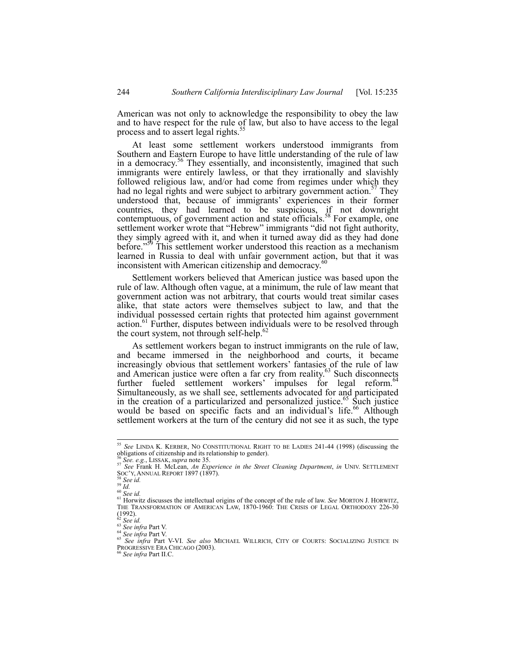American was not only to acknowledge the responsibility to obey the law and to have respect for the rule of law, but also to have access to the legal process and to assert legal rights.<sup>5</sup>

At least some settlement workers understood immigrants from Southern and Eastern Europe to have little understanding of the rule of law in a democracy.<sup>56</sup> They essentially, and inconsistently, imagined that such immigrants were entirely lawless, or that they irrationally and slavishly followed religious law, and/or had come from regimes under which they had no legal rights and were subject to arbitrary government action.<sup>57</sup> They understood that, because of immigrants' experiences in their former countries, they had learned to be suspicious, if not downright contemptuous, of government action and state officials.<sup>58</sup> For example, one settlement worker wrote that "Hebrew" immigrants "did not fight authority, they simply agreed with it, and when it turned away did as they had done before."59 This settlement worker understood this reaction as a mechanism learned in Russia to deal with unfair government action, but that it was inconsistent with American citizenship and democracy.<sup>6</sup>

Settlement workers believed that American justice was based upon the rule of law. Although often vague, at a minimum, the rule of law meant that government action was not arbitrary, that courts would treat similar cases alike, that state actors were themselves subject to law, and that the individual possessed certain rights that protected him against government action.<sup>61</sup> Further, disputes between individuals were to be resolved through the court system, not through self-help. $6$ 

As settlement workers began to instruct immigrants on the rule of law, and became immersed in the neighborhood and courts, it became increasingly obvious that settlement workers' fantasies of the rule of law and American justice were often a far cry from reality.<sup>63</sup> Such disconnects further fueled settlement workers' impulses for legal reform.<sup>64</sup> Simultaneously, as we shall see, settlements advocated for and participated in the creation of a particularized and personalized justice.<sup>65</sup> Such justice would be based on specific facts and an individual's life.<sup>66</sup> Although settlement workers at the turn of the century did not see it as such, the type

<sup>&</sup>lt;sup>55</sup> See LINDA K. KERBER, NO CONSTITUTIONAL RIGHT TO BE LADIES 241-44 (1998) (discussing the obligations of citizenship and its relationship to gender).

<sup>&</sup>lt;sup>56</sup> See. e.g., LISSAK, *supra* note 35. 57 *See. e.g.*, LISSAK, *supra* note 35. 57 *See* Frank H. McLean, *An Experience in the Street Cleaning Department, <i>in* UNIV. SETTLEMENT Soc'y, ANNUAL REPORT 1897 (1897).

<sup>&</sup>lt;sup>S8</sup> *See id.*<br><sup>59</sup> *Id.*<br><sup>60</sup> *See id.* 69 *See id.* 61 Horwitz discusses the intellectual origins of the concept of the rule of law. *See* MORTON J. HORWITZ, THE TRANSFORMATION OF AMERICAN LAW, 1870-1960: THE CRISIS OF LEGAL ORTHODOXY 226-30  $(1992)$ .<br> $62$  See id.<br> $63$  See infra Part V.

<sup>62</sup> *See id.* <sup>63</sup> *See infra* Part V. 64 *See infra* Part V. 65 *See infra* Part V-VI. *See also* MICHAEL WILLRICH, CITY OF COURTS: SOCIALIZING JUSTICE IN PROGRESSIVE ERA CHICAGO (2003). 66 *See infra* Part II.C.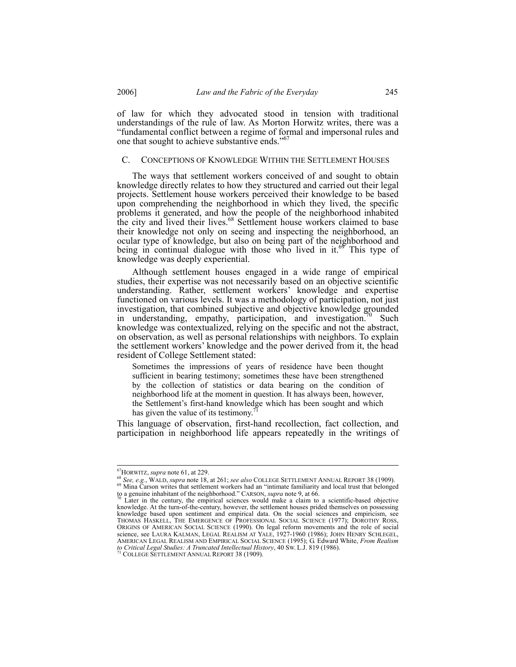of law for which they advocated stood in tension with traditional understandings of the rule of law. As Morton Horwitz writes, there was a "fundamental conflict between a regime of formal and impersonal rules and one that sought to achieve substantive ends."<sup>67</sup>

### C. CONCEPTIONS OF KNOWLEDGE WITHIN THE SETTLEMENT HOUSES

The ways that settlement workers conceived of and sought to obtain knowledge directly relates to how they structured and carried out their legal projects. Settlement house workers perceived their knowledge to be based upon comprehending the neighborhood in which they lived, the specific problems it generated, and how the people of the neighborhood inhabited the city and lived their lives.<sup>68</sup> Settlement house workers claimed to base their knowledge not only on seeing and inspecting the neighborhood, an ocular type of knowledge, but also on being part of the neighborhood and being in continual dialogue with those who lived in it.<sup>69</sup> This type of knowledge was deeply experiential.

Although settlement houses engaged in a wide range of empirical studies, their expertise was not necessarily based on an objective scientific understanding. Rather, settlement workers' knowledge and expertise functioned on various levels. It was a methodology of participation, not just investigation, that combined subjective and objective knowledge grounded in understanding, empathy, participation, and investigation.<sup>70</sup> Such knowledge was contextualized, relying on the specific and not the abstract, on observation, as well as personal relationships with neighbors. To explain the settlement workers' knowledge and the power derived from it, the head resident of College Settlement stated:

Sometimes the impressions of years of residence have been thought sufficient in bearing testimony; sometimes these have been strengthened by the collection of statistics or data bearing on the condition of neighborhood life at the moment in question. It has always been, however, the Settlement's first-hand knowledge which has been sought and which has given the value of its testimony. $\frac{71}{1}$ 

This language of observation, first-hand recollection, fact collection, and participation in neighborhood life appears repeatedly in the writings of

<sup>&</sup>lt;sup>67</sup>HORWITZ, *supra* note 61, at 229.<br><sup>68</sup> See, e.g., WALD, *supra* note 18, at 261; *see also* COLLEGE SETTLEMENT ANNUAL REPORT 38 (1909).<br><sup>69</sup> Mina Carson writes that settlement workers had an "intimate familiarity and to a genuine inhabitant of the neighborhood." CARSON, *supra* note 9, at 66.<br><sup>70</sup> Later in the century, the empirical sciences would make a claim to a scientific-based objective

knowledge. At the turn-of-the-century, however, the settlement houses prided themselves on possessing knowledge based upon sentiment and empirical data. On the social sciences and empiricism, see THOMAS HASKELL, THE EMERGENCE OF PROFESSIONAL SOCIAL SCIENCE (1977); DOROTHY ROSS, ORIGINS OF AMERICAN SOCIAL SCIENCE (1990). On legal reform movements and the role of social science, see LAURA KALMAN, LEGAL REALISM AT YALE, 1927-1960 (1986); JOHN HENRY SCHLEGEL,<br>AMERICAN LEGAL REALISM AND EMPIRICAL SOCIAL SCIENCE (1995); G. Edward White, *From Realism to Critical Legal Studies: A Truncated Intellectual History*, 40 SW. L.J. 819 (1986). 71 COLLEGE SETTLEMENT ANNUAL REPORT 38 (1909).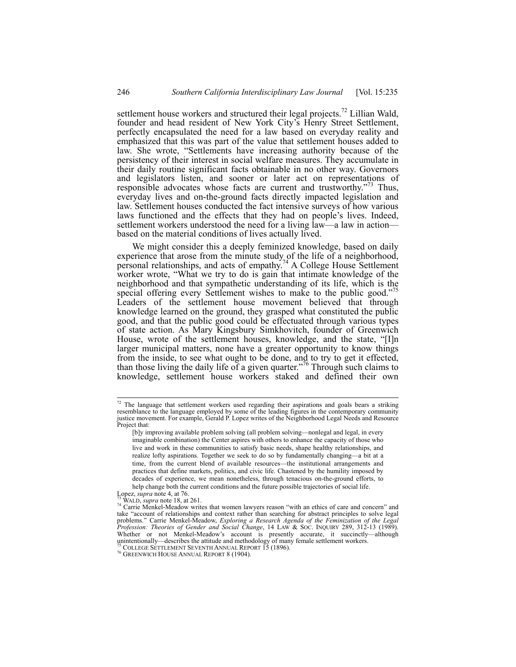settlement house workers and structured their legal projects.<sup>72</sup> Lillian Wald, founder and head resident of New York City's Henry Street Settlement, perfectly encapsulated the need for a law based on everyday reality and emphasized that this was part of the value that settlement houses added to law. She wrote, "Settlements have increasing authority because of the persistency of their interest in social welfare measures. They accumulate in their daily routine significant facts obtainable in no other way. Governors and legislators listen, and sooner or later act on representations of responsible advocates whose facts are current and trustworthy. $\frac{3}{13}$  Thus, everyday lives and on-the-ground facts directly impacted legislation and law. Settlement houses conducted the fact intensive surveys of how various laws functioned and the effects that they had on people's lives. Indeed, settlement workers understood the need for a living law—a law in action based on the material conditions of lives actually lived.

We might consider this a deeply feminized knowledge, based on daily experience that arose from the minute study of the life of a neighborhood, personal relationships, and acts of empathy.<sup>74</sup> A College House Settlement worker wrote, "What we try to do is gain that intimate knowledge of the neighborhood and that sympathetic understanding of its life, which is the special offering every Settlement wishes to make to the public good."<sup>75</sup> Leaders of the settlement house movement believed that through knowledge learned on the ground, they grasped what constituted the public good, and that the public good could be effectuated through various types of state action. As Mary Kingsbury Simkhovitch, founder of Greenwich House, wrote of the settlement houses, knowledge, and the state, "[I]n larger municipal matters, none have a greater opportunity to know things from the inside, to see what ought to be done, and to try to get it effected, than those living the daily life of a given quarter."76 Through such claims to knowledge, settlement house workers staked and defined their own

 $72$  The language that settlement workers used regarding their aspirations and goals bears a striking resemblance to the language employed by some of the leading figures in the contemporary community justice movement. For example, Gerald P. Lopez writes of the Neighborhood Legal Needs and Resource Project that:

<sup>[</sup>b]y improving available problem solving (all problem solving—nonlegal and legal, in every imaginable combination) the Center aspires with others to enhance the capacity of those who live and work in these communities to satisfy basic needs, shape healthy relationships, and realize lofty aspirations. Together we seek to do so by fundamentally changing—a bit at a time, from the current blend of available resources—the institutional arrangements and practices that define markets, politics, and civic life. Chastened by the humility imposed by decades of experience, we mean nonetheless, through tenacious on-the-ground efforts, to help change both the current conditions and the future possible trajectories of social life.<br>Lopez, supra note 4, at 76.

<sup>&</sup>lt;sup>73</sup> WALD, *supra* note 18, at 261. *At 261. at 261. At 40. 74 Carrie Menkel-Meadow writes that women lawyers reason "with an ethics of care and concern" and*  $\alpha$ take "account of relationships and context rather than searching for abstract principles to solve legal problems." Carrie Menkel-Meadow, *Exploring a Research Agenda of the Feminization of the Legal Profession: Theories of Gender and Social Change*, 14 LAW & SOC. INQUIRY 289, 312-13 (1989). Whether or not Menkel-Meadow's account is presently accurate, it succinctly—although unintentionally—describes the attitude and methodology of many female settlement workers.<br><sup>75</sup> COLLEGE SETTLEMENT SEVENTH ANNUAL REPORT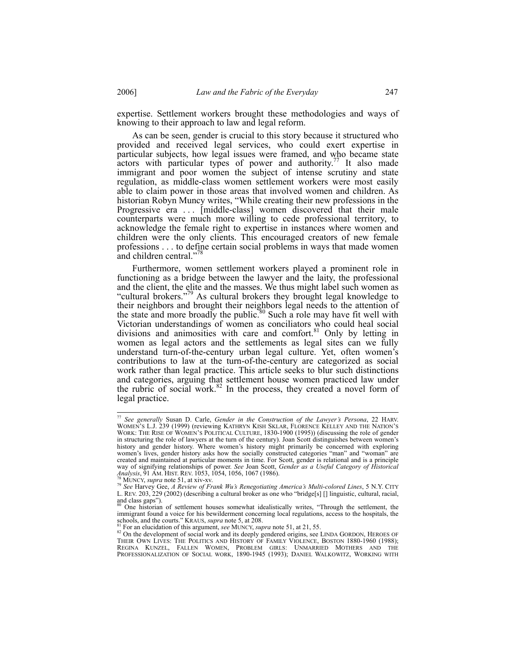expertise. Settlement workers brought these methodologies and ways of knowing to their approach to law and legal reform.

As can be seen, gender is crucial to this story because it structured who provided and received legal services, who could exert expertise in particular subjects, how legal issues were framed, and who became state actors with particular types of power and authority.<sup> $\pi$ </sup> It also made immigrant and poor women the subject of intense scrutiny and state regulation, as middle-class women settlement workers were most easily able to claim power in those areas that involved women and children. As historian Robyn Muncy writes, "While creating their new professions in the Progressive era ... [middle-class] women discovered that their male counterparts were much more willing to cede professional territory, to acknowledge the female right to expertise in instances where women and children were the only clients. This encouraged creators of new female professions . . . to define certain social problems in ways that made women and children central."<sup>78</sup>

Furthermore, women settlement workers played a prominent role in functioning as a bridge between the lawyer and the laity, the professional and the client, the elite and the masses. We thus might label such women as "cultural brokers."79 As cultural brokers they brought legal knowledge to their neighbors and brought their neighbors legal needs to the attention of the state and more broadly the public.<sup>80</sup> Such a role may have fit well with Victorian understandings of women as conciliators who could heal social divisions and animosities with care and comfort.<sup>81</sup> Only by letting in women as legal actors and the settlements as legal sites can we fully understand turn-of-the-century urban legal culture. Yet, often women's contributions to law at the turn-of-the-century are categorized as social work rather than legal practice. This article seeks to blur such distinctions and categories, arguing that settlement house women practiced law under the rubric of social work.<sup>82</sup> In the process, they created a novel form of legal practice.

 <sup>77</sup> *See generally* Susan D. Carle, *Gender in the Construction of the Lawyer's Persona*, 22 HARV. WOMEN'S L.J. 239 (1999) (reviewing KATHRYN KISH SKLAR, FLORENCE KELLEY AND THE NATION'S WORK: THE RISE OF WOMEN'S POLITICAL CULTURE, 1830-1900 (1995)) (discussing the role of gender in structuring the role of lawyers at the turn of the century). Joan Scott distinguishes between women's history and gender history. Where women's history might primarily be concerned with exploring women's lives, gender history asks how the socially constructed categories "man" and "woman" are created and maintained at particular moments in time. For Scott, gender is relational and is a principle way of signifying relationships of power. *See Joan Scott, Gender as a Useful Category of Historical Analysis*, 91 AM. HIST. REV. 1053, 1054, 1056, 1067 (1986).

<sup>&</sup>lt;sup>78</sup> MUNCY, *supra* note 51, at xiv-xv.<br><sup>79</sup> See Harvey Gee, *A Review of Frank Wu's Renegotiating America's Multi-colored Lines*, 5 N.Y. CITY L. REV. 203, 229 (2002) (describing a cultural broker as one who "bridge[s] [] linguistic, cultural, racial, and class gaps").

<sup>80</sup> One historian of settlement houses somewhat idealistically writes, "Through the settlement, the immigrant found a voice for his bewilderment concerning local regulations, access to the hospitals, the schools, and the courts." KRAUS, *supra* note 5, at 208.<br><sup>81</sup> For an elucidation of this argument, *see* MUNCY, *supr* 

<sup>82</sup> On the development of social work and its deeply gendered origins, see TALLACORDON, HEROES OF THEIR OWN LIVES: THE POLITICS AND HISTORY OF FAMILY VIOLENCE, BOSTON 1880-1960 (1988);<br>REGINA KUNZEL, FALLEN WOMEN, PROBLEM GIRLS: UNMARRIED MOTHERS AND THE PROFESSIONALIZATION OF SOCIAL WORK, 1890-1945 (1993); DANIEL WALKOWITZ, WORKING WITH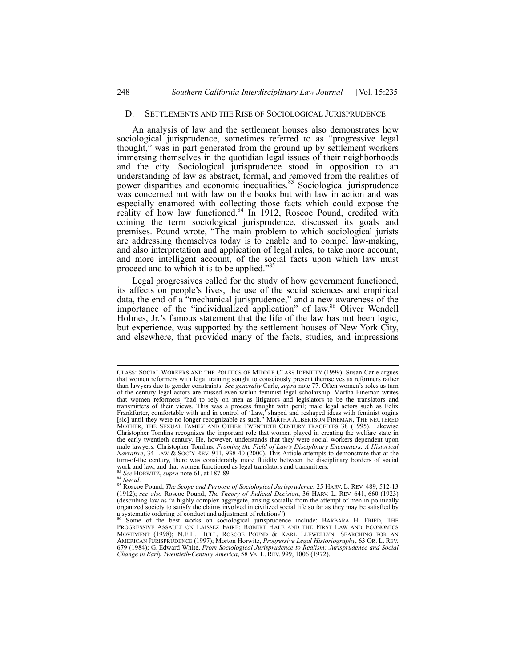## D. SETTLEMENTS AND THE RISE OF SOCIOLOGICAL JURISPRUDENCE

An analysis of law and the settlement houses also demonstrates how sociological jurisprudence, sometimes referred to as "progressive legal thought," was in part generated from the ground up by settlement workers immersing themselves in the quotidian legal issues of their neighborhoods and the city. Sociological jurisprudence stood in opposition to an understanding of law as abstract, formal, and removed from the realities of power disparities and economic inequalities.<sup>83</sup> Sociological jurisprudence was concerned not with law on the books but with law in action and was especially enamored with collecting those facts which could expose the reality of how law functioned.<sup>84</sup> In 1912, Roscoe Pound, credited with coining the term sociological jurisprudence, discussed its goals and premises. Pound wrote, "The main problem to which sociological jurists are addressing themselves today is to enable and to compel law-making, and also interpretation and application of legal rules, to take more account, and more intelligent account, of the social facts upon which law must proceed and to which it is to be applied."<sup>8</sup>

Legal progressives called for the study of how government functioned, its affects on people's lives, the use of the social sciences and empirical data, the end of a "mechanical jurisprudence," and a new awareness of the importance of the "individualized application" of law.<sup>86</sup> Oliver Wendell Holmes, Jr.'s famous statement that the life of the law has not been logic, but experience, was supported by the settlement houses of New York City, and elsewhere, that provided many of the facts, studies, and impressions

CLASS: SOCIAL WORKERS AND THE POLITICS OF MIDDLE CLASS IDENTITY (1999). Susan Carle argues that women reformers with legal training sought to consciously present themselves as reformers rather than lawyers due to gender constraints. *See generally* Carle, *supra* note 77. Often women's roles as turn of the century legal actors are missed even within feminist legal scholarship. Martha Fineman writes that women reformers "had to rely on men as litigators and legislators to be the translators and transmitters of their views. This was a process fraught with peril; male legal actors such as Felix Frankfurter, comfortable with and in control of 'Law,' shaped and reshaped ideas with feminist orgins [sic] until they were no longer recognizable as such." MARTHA ALBERTSON FINEMAN, THE NEUTERED MOTHER, THE SEXUAL FAMILY AND OTHER TWENTIETH CENTURY TRAGEDIES 38 (1995). Likewise Christopher Tomlins recognizes the important role that women played in creating the welfare state in the early twentieth century. He, however, understands that they were social workers dependent upon male lawyers. Christopher Tomlins, *Framing the Field of Law's Disciplinary Encounters: A Historical Narrative*, 34 LAW & SOC'Y REV. 911, 938-40 (2000). This Article attempts to demonstrate that at the turn-of-the century, there was considerably more fluidity between the disciplinary borders of social work and law, and that women functioned as legal translators and transmitters.

 $\frac{1}{2}$ <br>
See HORWITZ, supra note 61, at 187-89.<br>  $\frac{1}{2}$ <br>  $\frac{1}{2}$ <br>  $\frac{1}{2}$ <br>  $\frac{1}{2}$ <br>  $\frac{1}{2}$ <br>  $\frac{1}{2}$ <br>  $\frac{1}{2}$ <br>  $\frac{1}{2}$ <br>  $\frac{1}{2}$ <br>  $\frac{1}{2}$ <br>  $\frac{1}{2}$ <br>  $\frac{1}{2}$ <br>  $\frac{1}{2}$ <br>  $\frac{1}{2}$ <br>  $\frac{1}{2}$ <br>  $\frac{1$ (1912); *see also* Roscoe Pound, *The Theory of Judicial Decision*, 36 HARV. L. REV. 641, 660 (1923) (describing law as "a highly complex aggregate, arising socially from the attempt of men in politically organized society to satisfy the claims involved in civilized social life so far as they may be satisfied by a systematic ordering of conduct and adjustment of relations").

a systematic ordering of conduct and adjustment of relations").<br><sup>86</sup> Some of the best works on sociological jurisprudence include: BARBARA H. FRIED, THE<br>PROGRESSIVE ASSAULT ON LAISSEZ FAIRE: ROBERT HALE AND THE FIRST LAW A MOVEMENT (1998); N.E.H. HULL, ROSCOE POUND & KARL LLEWELLYN: SEARCHING FOR AN<br>AMERICAN JURISPRUDENCE (1997); Morton Horwitz, *Progressive Legal Historiography*, 63 Or. L. REV.<br>679 (1984); G. Edward White, *From Sociologica Change in Early Twentieth-Century America*, 58 VA. L. REV. 999, 1006 (1972).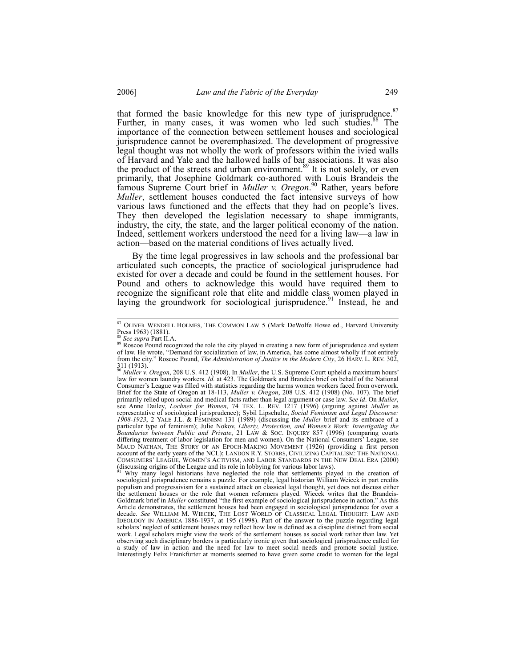that formed the basic knowledge for this new type of jurisprudence.<sup>87</sup> Further, in many cases, it was women who led such studies.<sup>88</sup> The importance of the connection between settlement houses and sociological jurisprudence cannot be overemphasized. The development of progressive legal thought was not wholly the work of professors within the ivied walls of Harvard and Yale and the hallowed halls of bar associations. It was also the product of the streets and urban environment.<sup>89</sup> It is not solely, or even primarily, that Josephine Goldmark co-authored with Louis Brandeis the famous Supreme Court brief in *Muller v. Oregon*. 90 Rather, years before *Muller*, settlement houses conducted the fact intensive surveys of how various laws functioned and the effects that they had on people's lives. They then developed the legislation necessary to shape immigrants, industry, the city, the state, and the larger political economy of the nation. Indeed, settlement workers understood the need for a living law—a law in action—based on the material conditions of lives actually lived.

By the time legal progressives in law schools and the professional bar articulated such concepts, the practice of sociological jurisprudence had existed for over a decade and could be found in the settlement houses. For Pound and others to acknowledge this would have required them to recognize the significant role that elite and middle class women played in laying the groundwork for sociological jurisprudence.<sup>91</sup> Instead, he and

<sup>87</sup> OLIVER WENDELL HOLMES, THE COMMON LAW 5 (Mark DeWolfe Howe ed., Harvard University Press 1963) (1881).<br><sup>88</sup> See supra Part II.A.

<sup>&</sup>lt;sup>89</sup> Roscoe Pound recognized the role the city played in creating a new form of jurisprudence and system of law. He wrote, "Demand for socialization of law, in America, has come almost wholly if not entirely from the city." Roscoe Pound, *The Administration of Justice in the Modern City*, 26 HARV. L. REV. 302,  $311 (1913)$ .

*Muller v. Oregon*, 208 U.S. 412 (1908). In *Muller*, the U.S. Supreme Court upheld a maximum hours' law for women laundry workers. *Id.* at 423. The Goldmark and Brandeis brief on behalf of the National Consumer's League was filled with statistics regarding the harms women workers faced from overwork. Brief for the State of Oregon at 18-113, *Muller v. Oregon*, 208 U.S. 412 (1908) (No. 107). The brief primarily relied upon social and medical facts rather than legal argument or case law. See id. On *Muller*, primarily relied upon social and medical facts rather than legal argument or case law. *See id*. On *Muller*, see Anne Dailey, *Lochner for Women*, 74 TEX. L. REV. 1217 (1996) (arguing against *Muller* as representative of sociological jurisprudence); Sybil Lipschultz, *Social Feminism and Legal Discourse: 1908-1923*, 2 YALE J.L. & FEMINISM 131 (1989) (discussing the *Muller* brief and its embrace of a particular type of feminism); Julie Nokov, *Liberty, Protection, and Women's Work: Investigating the Boundaries between Public and Private*, 21 LAW & SOC. INQUIRY 857 (1996) (comparing courts differing treatment of labor legislation for men and women). On the National Consumers' League, see MAUD NATHAN, THE STORY OF AN EPOCH-MAKING MOVEMENT (1926) (providing a first person account of the early years of the NCL); LANDON R.Y. STORRS, CIVILIZING CAPITALISM: THE NATIONAL COMSUMERS' LEAGUE, WOMEN'S ACTIVISM, AND LABOR STANDARDS IN THE NEW DEAL ERA (2000)<br>(discussing origins of the League and its role in lobbying for various labor laws).

Why many legal historians have neglected the role that settlements played in the creation of sociological jurisprudence remains a puzzle. For example, legal historian William Weicek in part credits populism and progressivism for a sustained attack on classical legal thought, yet does not discuss either the settlement houses or the role that women reformers played. Wiecek writes that the Brandeis-Goldmark brief in *Muller* constituted "the first example of sociological jurisprudence in action." As this Article demonstrates, the settlement houses had been engaged in sociological jurisprudence for over a decade. *See* WILLIAM M. WIECEK, THE LOST WORLD OF CLASSICAL LEGAL THOUGHT: LAW AND IDEOLOGY IN AMERICA 1886-1937, at 195 (1998). Part of the answer to the puzzle regarding legal scholars' neglect of settlement houses may reflect how law is defined as a discipline distinct from social work. Legal scholars might view the work of the settlement houses as social work rather than law. Yet observing such disciplinary borders is particularly ironic given that sociological jurisprudence called for a study of law in action and the need for law to meet social needs and promote social justice. Interestingly Felix Frankfurter at moments seemed to have given some credit to women for the legal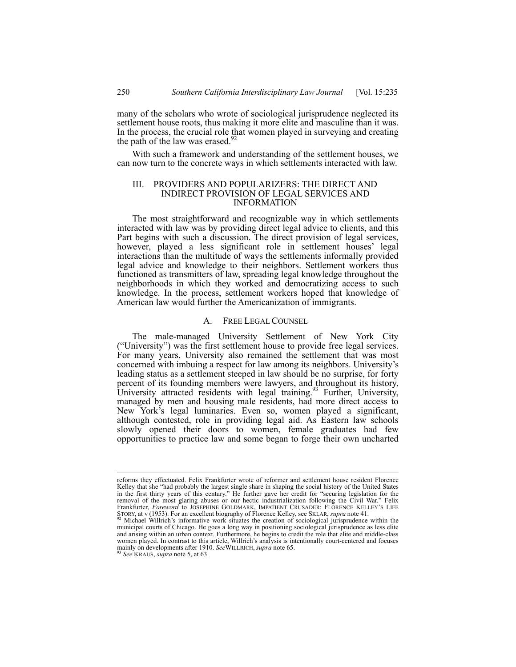many of the scholars who wrote of sociological jurisprudence neglected its settlement house roots, thus making it more elite and masculine than it was. In the process, the crucial role that women played in surveying and creating the path of the law was erased. $92$ 

With such a framework and understanding of the settlement houses, we can now turn to the concrete ways in which settlements interacted with law.

# III. PROVIDERS AND POPULARIZERS: THE DIRECT AND INDIRECT PROVISION OF LEGAL SERVICES AND INFORMATION

The most straightforward and recognizable way in which settlements interacted with law was by providing direct legal advice to clients, and this Part begins with such a discussion. The direct provision of legal services, however, played a less significant role in settlement houses' legal interactions than the multitude of ways the settlements informally provided legal advice and knowledge to their neighbors. Settlement workers thus functioned as transmitters of law, spreading legal knowledge throughout the neighborhoods in which they worked and democratizing access to such knowledge. In the process, settlement workers hoped that knowledge of American law would further the Americanization of immigrants.

### A. FREE LEGAL COUNSEL

The male-managed University Settlement of New York City ("University") was the first settlement house to provide free legal services. For many years, University also remained the settlement that was most concerned with imbuing a respect for law among its neighbors. University's leading status as a settlement steeped in law should be no surprise, for forty percent of its founding members were lawyers, and throughout its history, University attracted residents with legal training.<sup>93</sup> Further, University, managed by men and housing male residents, had more direct access to New York's legal luminaries. Even so, women played a significant, although contested, role in providing legal aid. As Eastern law schools slowly opened their doors to women, female graduates had few opportunities to practice law and some began to forge their own uncharted

reforms they effectuated. Felix Frankfurter wrote of reformer and settlement house resident Florence Kelley that she "had probably the largest single share in shaping the social history of the United States in the first thirty years of this century." He further gave her credit for "securing legislation for the removal of the most glaring abuses or our hectic industrialization following the Civil War." Felix Frankfurter, *Foreword* to JOSEPHINE GOLDMARK, IMPATIENT CRUSADER: FLORENCE KELLEY'S LIFE STORY, at v (1953). For an excellent biography of Florence Kelley, see SKLAR, *supra* note 41. 9 Life<br><sup>92</sup> Michael Willrich's informative work situates the creation of sociological jurisprudence within the

municipal courts of Chicago. He goes a long way in positioning sociological jurisprudence as less elite and arising within an urban context. Furthermore, he begins to credit the role that elite and middle-class women played. In contrast to this article, Willrich's analysis is intentionally court-centered and focuses mainly on developments after 1910. *See* WILLRICH, *supra* note 65.<br><sup>93</sup> *See* KRAUS, *supra* note 5, at 63.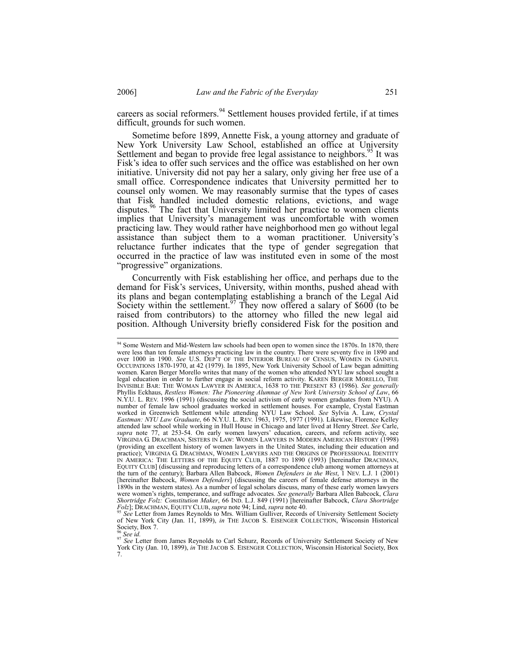careers as social reformers.<sup>94</sup> Settlement houses provided fertile, if at times difficult, grounds for such women.

Sometime before 1899, Annette Fisk, a young attorney and graduate of New York University Law School, established an office at University Settlement and began to provide free legal assistance to neighbors.<sup>95</sup> It was Fisk's idea to offer such services and the office was established on her own initiative. University did not pay her a salary, only giving her free use of a small office. Correspondence indicates that University permitted her to counsel only women. We may reasonably surmise that the types of cases that Fisk handled included domestic relations, evictions, and wage disputes.<sup>96</sup> The fact that University limited her practice to women clients implies that University's management was uncomfortable with women practicing law. They would rather have neighborhood men go without legal assistance than subject them to a woman practitioner. University's reluctance further indicates that the type of gender segregation that occurred in the practice of law was instituted even in some of the most "progressive" organizations.

Concurrently with Fisk establishing her office, and perhaps due to the demand for Fisk's services, University, within months, pushed ahead with its plans and began contemplating establishing a branch of the Legal Aid Society within the settlement.<sup>97</sup> They now offered a salary of  $$600$  (to be raised from contributors) to the attorney who filled the new legal aid position. Although University briefly considered Fisk for the position and

<sup>&</sup>lt;sup>94</sup> Some Western and Mid-Western law schools had been open to women since the 1870s. In 1870, there were less than ten female attorneys practicing law in the country. There were seventy five in 1890 and over 1000 in 1900. *See* U.S. DEP'T OF THE INTERIOR BUREAU OF CENSUS, WOMEN IN GAINFUL OCCUPATIONS 1870-1970, at 42 (1979). In 1895, New York University School of Law began admitting women. Karen Berger Morello writes that many of the women who attended NYU law school sought a legal education in order to further engage in social reform activity. KAREN BERGER MORELLO, THE INVISIBLE BAR: THE WOMAN LAWYER IN AMERICA, 1638 TO THE PRESENT 83 (1986). *See generally* Phyllis Eckhaus, *Restless Women: The Pioneering Alumnae of New York University School of Law*, 66 N.Y.U. L. REV. 1996 (1991) (discussing the social activism of early women graduates from NYU). A number of female law school graduates worked in settlement houses. For example, Crystal Eastman worked in Greenwich Settlement while attending NYU Law School. *See* Sylvia A. Law, *Crystal Eastman: NYU Law Graduate*, 66 N.Y.U. L. REV. 1963, 1975, 1977 (1991). Likewise, Florence Kelley attended law school while working in Hull House in Chicago and later lived at Henry Street. *See* Carle, *supra* note 77, at 253-54. On early women lawyers' education, careers, and reform activity, see VIRGINIA G. DRACHMAN, SISTERS IN LAW: WOMEN LAWYERS IN MODERN AMERICAN HISTORY (1998) (providing an excellent history of women lawyers in the United States, including their education and practice); VIRGINIA G. DRACHMAN, WOMEN LAWYERS AND THE ORIGINS OF PROFESSIONAL IDENTITY IN AMERICA: THE LETTERS OF THE EQUITY CLUB, 1887 TO 1890 (1993) [hereinafter DRACHMAN, EQUITY CLUB] (discussing and reproducing letters of a correspondence club among women attorneys at the turn of the century); Barbara Allen Babcock, *Women Defenders in the West*, 1 NEV. L.J. 1 (2001) [hereinafter Babcock, *Women Defenders*] (discussing the careers of female defense attorneys in the 1890s in the western states). As a number of legal scholars discuss, many of these early women lawyers were women's rights, temperance, and suffrage advocates. *See generally* Barbara Allen Babcock, *Clara Shortridge Folz: Constitution Maker*, 66 IND. L.J. 849 (1991) [hereinafter Babcock, *Clara Shortridge Folz*]; DRACHMAN, EQUITY CLUB, *supra* note 94; Lind, *supra* note 40.<br><sup>95</sup> *See* Letter from James Reynolds to Mrs. William Gulliver, Records of University Settlement Society<br><sup>95</sup> *See* Letter from James Reynolds to Mrs.

of New York City (Jan. 11, 1899), *in* THE JACOB S. EISENGER COLLECTION, Wisconsin Historical Society, Box 7.

<sup>&</sup>lt;sup>96</sup> *See id.* 97<br><sup>96</sup> *See id.* 97 *See Letter from James Reynolds to Carl Schurz, Records of University Settlement Society of New* York City (Jan. 10, 1899), *in* THE JACOB S. EISENGER COLLECTION, Wisconsin Historical Society, Box 7.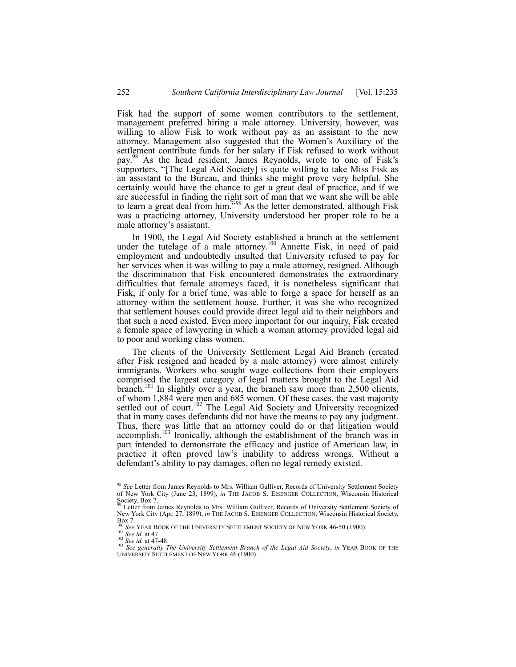Fisk had the support of some women contributors to the settlement, management preferred hiring a male attorney. University, however, was willing to allow Fisk to work without pay as an assistant to the new attorney. Management also suggested that the Women's Auxiliary of the settlement contribute funds for her salary if Fisk refused to work without pay.98 As the head resident, James Reynolds, wrote to one of Fisk's supporters, "[The Legal Aid Society] is quite willing to take Miss Fisk as an assistant to the Bureau, and thinks she might prove very helpful. She certainly would have the chance to get a great deal of practice, and if we are successful in finding the right sort of man that we want she will be able to learn a great deal from him.<sup>599</sup> As the letter demonstrated, although Fisk was a practicing attorney, University understood her proper role to be a male attorney's assistant.

In 1900, the Legal Aid Society established a branch at the settlement under the tutelage of a male attorney.<sup>100</sup> Annette Fisk, in need of paid employment and undoubtedly insulted that University refused to pay for her services when it was willing to pay a male attorney, resigned. Although the discrimination that Fisk encountered demonstrates the extraordinary difficulties that female attorneys faced, it is nonetheless significant that Fisk, if only for a brief time, was able to forge a space for herself as an attorney within the settlement house. Further, it was she who recognized that settlement houses could provide direct legal aid to their neighbors and that such a need existed. Even more important for our inquiry, Fisk created a female space of lawyering in which a woman attorney provided legal aid to poor and working class women.

The clients of the University Settlement Legal Aid Branch (created after Fisk resigned and headed by a male attorney) were almost entirely immigrants. Workers who sought wage collections from their employers comprised the largest category of legal matters brought to the Legal Aid branch.<sup>101</sup> In slightly over a year, the branch saw more than 2,500 clients, of whom 1,884 were men and 685 women. Of these cases, the vast majority settled out of court.<sup>102</sup> The Legal Aid Society and University recognized that in many cases defendants did not have the means to pay any judgment. Thus, there was little that an attorney could do or that litigation would accomplish.<sup>103</sup> Ironically, although the establishment of the branch was in part intended to demonstrate the efficacy and justice of American law, in practice it often proved law's inability to address wrongs. Without a defendant's ability to pay damages, often no legal remedy existed.

 <sup>98</sup> *See* Letter from James Reynolds to Mrs. William Gulliver, Records of University Settlement Society of New York City (June 23, 1899), *in* THE JACOB S. EISENGER COLLECTION, Wisconsin Historical Society, Box 7.

Letter from James Reynolds to Mrs. William Gulliver, Records of University Settlement Society of New York City (Apr. 27, 1899), *in* THE JACOB S. EISENGER COLLECTION, Wisconsin Historical Society,

Box 7.<br><sup>100</sup> See YEAR BOOK OF THE UNIVERSITY SETTLEMENT SOCIETY OF NEW YORK 46-50 (1900).<br><sup>101</sup> See id. at 47.<br><sup>102</sup> See id. at 47-48.<br><sup>103</sup> See generally The University Settlement Branch of the Legal Aid Society, in YEAR <sup>103</sup> See generally The University Settlement Branch of the Legal Aid Society, in YEAR BOOK OF THE UNIVERSITY SETTLEMENT OF NEW YORK 46 (1900).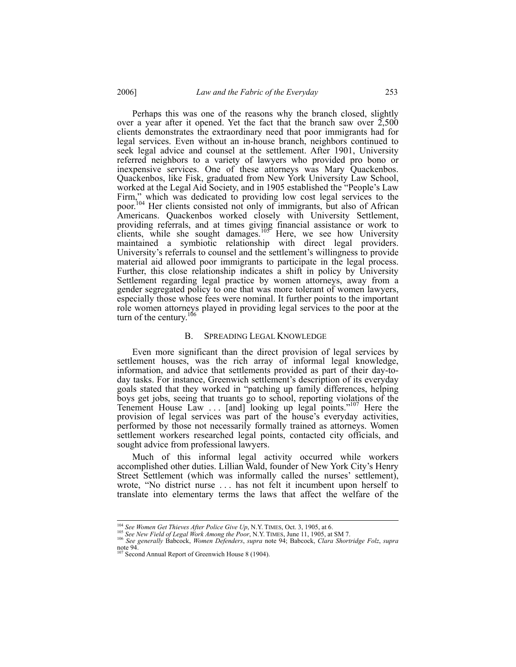Perhaps this was one of the reasons why the branch closed, slightly over a year after it opened. Yet the fact that the branch saw over 2,500 clients demonstrates the extraordinary need that poor immigrants had for legal services. Even without an in-house branch, neighbors continued to seek legal advice and counsel at the settlement. After 1901, University referred neighbors to a variety of lawyers who provided pro bono or inexpensive services. One of these attorneys was Mary Quackenbos. Quackenbos, like Fisk, graduated from New York University Law School, worked at the Legal Aid Society, and in 1905 established the "People's Law Firm," which was dedicated to providing low cost legal services to the poor.<sup>104</sup> Her clients consisted not only of immigrants, but also of African Americans. Quackenbos worked closely with University Settlement, providing referrals, and at times giving financial assistance or work to clients, while she sought damages.<sup>105</sup> Here, we see how University maintained a symbiotic relationship with direct legal providers. University's referrals to counsel and the settlement's willingness to provide material aid allowed poor immigrants to participate in the legal process. Further, this close relationship indicates a shift in policy by University Settlement regarding legal practice by women attorneys, away from a gender segregated policy to one that was more tolerant of women lawyers, especially those whose fees were nominal. It further points to the important role women attorneys played in providing legal services to the poor at the turn of the century.<sup>106</sup>

#### B. SPREADING LEGAL KNOWLEDGE

Even more significant than the direct provision of legal services by settlement houses, was the rich array of informal legal knowledge, information, and advice that settlements provided as part of their day-today tasks. For instance, Greenwich settlement's description of its everyday goals stated that they worked in "patching up family differences, helping boys get jobs, seeing that truants go to school, reporting violations of the Tenement House Law  $\ldots$  [and] looking up legal points."<sup>107</sup> Here the provision of legal services was part of the house's everyday activities, performed by those not necessarily formally trained as attorneys. Women settlement workers researched legal points, contacted city officials, and sought advice from professional lawyers.

Much of this informal legal activity occurred while workers accomplished other duties. Lillian Wald, founder of New York City's Henry Street Settlement (which was informally called the nurses' settlement), wrote, "No district nurse . . . has not felt it incumbent upon herself to translate into elementary terms the laws that affect the welfare of the

<sup>&</sup>lt;sup>104</sup> See Women Get Thieves After Police Give Up, N.Y. TIMES, Oct. 3, 1905, at 6.<br><sup>105</sup> See New Field of Legal Work Among the Poor, N.Y. TIMES, June 11, 1905, at SM 7.<br><sup>106</sup> See generally Babcock, Women Defenders, supra no note 94.

Second Annual Report of Greenwich House 8 (1904).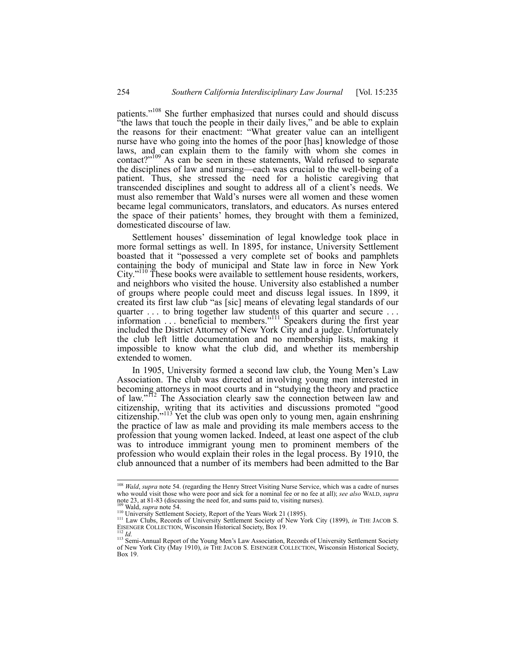patients."108 She further emphasized that nurses could and should discuss "the laws that touch the people in their daily lives," and be able to explain the reasons for their enactment: "What greater value can an intelligent nurse have who going into the homes of the poor [has] knowledge of those laws, and can explain them to the family with whom she comes in contact?"<sup>109</sup> As can be seen in these statements, Wald refused to separate the disciplines of law and nursing—each was crucial to the well-being of a patient. Thus, she stressed the need for a holistic caregiving that transcended disciplines and sought to address all of a client's needs. We must also remember that Wald's nurses were all women and these women became legal communicators, translators, and educators. As nurses entered the space of their patients' homes, they brought with them a feminized, domesticated discourse of law.

Settlement houses' dissemination of legal knowledge took place in more formal settings as well. In 1895, for instance, University Settlement boasted that it "possessed a very complete set of books and pamphlets containing the body of municipal and State law in force in New York City."110 These books were available to settlement house residents, workers, and neighbors who visited the house. University also established a number of groups where people could meet and discuss legal issues. In 1899, it created its first law club "as [sic] means of elevating legal standards of our quarter ... to bring together law students of this quarter and secure ... information ... beneficial to members."<sup>111</sup> Speakers during the first year included the District Attorney of New York City and a judge. Unfortunately the club left little documentation and no membership lists, making it impossible to know what the club did, and whether its membership extended to women.

In 1905, University formed a second law club, the Young Men's Law Association. The club was directed at involving young men interested in becoming attorneys in moot courts and in "studying the theory and practice of law."<sup>112</sup> The Association clearly saw the connection between law and citizenship, writing that its activities and discussions promoted "good citizenship."113 Yet the club was open only to young men, again enshrining the practice of law as male and providing its male members access to the profession that young women lacked. Indeed, at least one aspect of the club was to introduce immigrant young men to prominent members of the profession who would explain their roles in the legal process. By 1910, the club announced that a number of its members had been admitted to the Bar

<sup>&</sup>lt;sup>108</sup> *Wald*, *supra* note 54. (regarding the Henry Street Visiting Nurse Service, which was a cadre of nurses who would visit those who were poor and sick for a nominal fee or no fee at all); *see also* WALD, *supra* note 23, at 81-83 (discussing the need for, and sums paid to, visiting nurses).

<sup>&</sup>lt;sup>109</sup> Wald, *supra* note 54.<br><sup>110</sup> University Settlement Society, Report of the Years Work 21 (1895).<br><sup>111</sup> Law Clubs, Records of University Settlement Society of New York City (1899), *in* THE JACOB S.<br>EISENGER COLLECTIO

EISENGER COLLECTION, Wisconsin Historical Society, Box 19.<br><sup>112</sup> Id.<br><sup>113</sup> Semi-Annual Report of the Young Men's Law Association, Records of University Settlement Society<br>of New York City (May 1910), *in* THE JACOB S. EISE Box 19.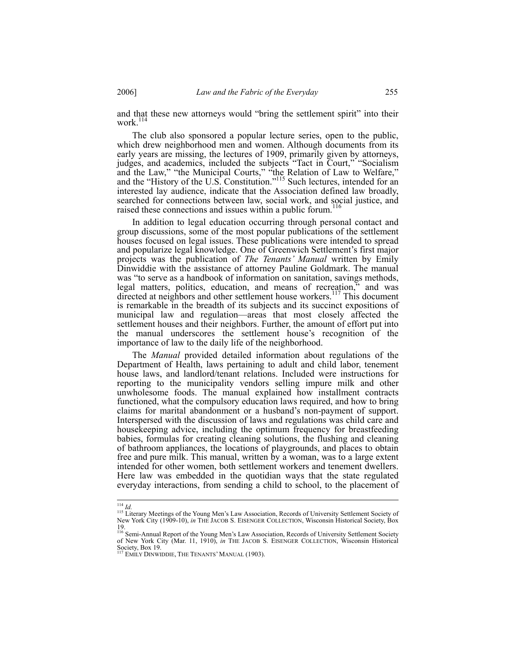and that these new attorneys would "bring the settlement spirit" into their work. $114$ 

The club also sponsored a popular lecture series, open to the public, which drew neighborhood men and women. Although documents from its early years are missing, the lectures of 1909, primarily given by attorneys, judges, and academics, included the subjects "Tact in Court," "Socialism and the Law," "the Municipal Courts," "the Relation of Law to Welfare," and the "History of the U.S. Constitution."<sup>115</sup> Such lectures, intended for an interested lay audience, indicate that the Association defined law broadly, searched for connections between law, social work, and social justice, and raised these connections and issues within a public forum.<sup>1</sup>

In addition to legal education occurring through personal contact and group discussions, some of the most popular publications of the settlement houses focused on legal issues. These publications were intended to spread and popularize legal knowledge. One of Greenwich Settlement's first major projects was the publication of *The Tenants' Manual* written by Emily Dinwiddie with the assistance of attorney Pauline Goldmark. The manual was "to serve as a handbook of information on sanitation, savings methods, legal matters, politics, education, and means of recreation," and was directed at neighbors and other settlement house workers.<sup>117</sup> This document is remarkable in the breadth of its subjects and its succinct expositions of municipal law and regulation—areas that most closely affected the settlement houses and their neighbors. Further, the amount of effort put into the manual underscores the settlement house's recognition of the importance of law to the daily life of the neighborhood.

The *Manual* provided detailed information about regulations of the Department of Health, laws pertaining to adult and child labor, tenement house laws, and landlord/tenant relations. Included were instructions for reporting to the municipality vendors selling impure milk and other unwholesome foods. The manual explained how installment contracts functioned, what the compulsory education laws required, and how to bring claims for marital abandonment or a husband's non-payment of support. Interspersed with the discussion of laws and regulations was child care and housekeeping advice, including the optimum frequency for breastfeeding babies, formulas for creating cleaning solutions, the flushing and cleaning of bathroom appliances, the locations of playgrounds, and places to obtain free and pure milk. This manual, written by a woman, was to a large extent intended for other women, both settlement workers and tenement dwellers. Here law was embedded in the quotidian ways that the state regulated everyday interactions, from sending a child to school, to the placement of

<sup>&</sup>lt;sup>114</sup> *Id.* 115 Literary Meetings of the Young Men's Law Association, Records of University Settlement Society of New York City (1909-10), *in* THE JACOB S. EISENGER COLLECTION, Wisconsin Historical Society, Box

<sup>19.</sup> 116 Semi-Annual Report of the Young Men's Law Association, Records of University Settlement Society of New York City (Mar. 11, 1910), *in* THE JACOB S. EISENGER COLLECTION, Wisconsin Historical Society, Box 19. 117 EMILY DINWIDDIE, THE TENANTS'MANUAL (1903).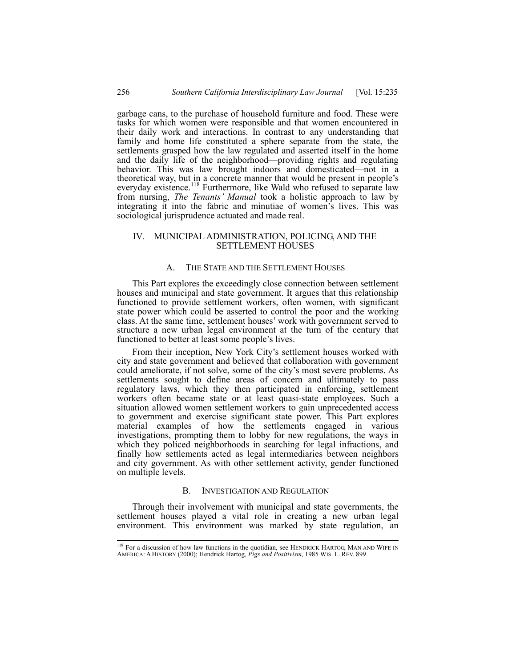garbage cans, to the purchase of household furniture and food. These were tasks for which women were responsible and that women encountered in their daily work and interactions. In contrast to any understanding that family and home life constituted a sphere separate from the state, the settlements grasped how the law regulated and asserted itself in the home and the daily life of the neighborhood—providing rights and regulating behavior. This was law brought indoors and domesticated—not in a theoretical way, but in a concrete manner that would be present in people's everyday existence.<sup>118</sup> Furthermore, like Wald who refused to separate law from nursing, *The Tenants' Manual* took a holistic approach to law by integrating it into the fabric and minutiae of women's lives. This was sociological jurisprudence actuated and made real.

# IV. MUNICIPAL ADMINISTRATION, POLICING, AND THE SETTLEMENT HOUSES

# A. THE STATE AND THE SETTLEMENT HOUSES

This Part explores the exceedingly close connection between settlement houses and municipal and state government. It argues that this relationship functioned to provide settlement workers, often women, with significant state power which could be asserted to control the poor and the working class. At the same time, settlement houses' work with government served to structure a new urban legal environment at the turn of the century that functioned to better at least some people's lives.

From their inception, New York City's settlement houses worked with city and state government and believed that collaboration with government could ameliorate, if not solve, some of the city's most severe problems. As settlements sought to define areas of concern and ultimately to pass regulatory laws, which they then participated in enforcing, settlement workers often became state or at least quasi-state employees. Such a situation allowed women settlement workers to gain unprecedented access to government and exercise significant state power. This Part explores material examples of how the settlements engaged in various investigations, prompting them to lobby for new regulations, the ways in which they policed neighborhoods in searching for legal infractions, and finally how settlements acted as legal intermediaries between neighbors and city government. As with other settlement activity, gender functioned on multiple levels.

## B. INVESTIGATION AND REGULATION

Through their involvement with municipal and state governments, the settlement houses played a vital role in creating a new urban legal environment. This environment was marked by state regulation, an

<sup>&</sup>lt;sup>118</sup> For a discussion of how law functions in the quotidian, see HENDRICK HARTOG, MAN AND WIFE IN AMERICA: A HISTORY (2000); Hendrick Hartog, *Pigs and Positivism*, 1985 WIS. L. REV. 899.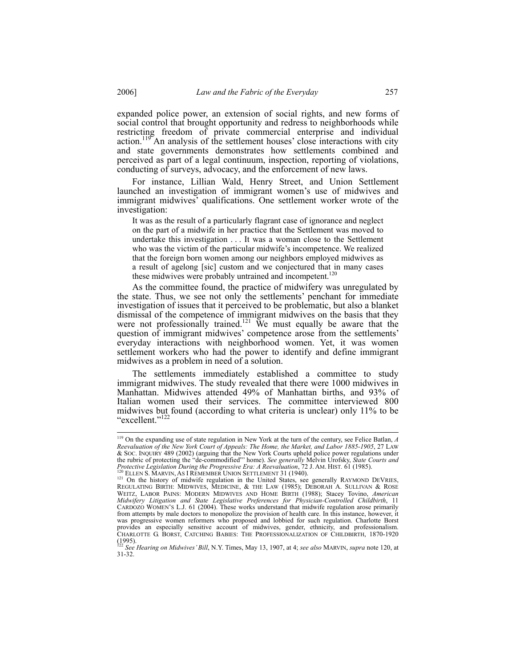expanded police power, an extension of social rights, and new forms of social control that brought opportunity and redress to neighborhoods while restricting freedom of private commercial enterprise and individual  $\arctan$ <sup>119</sup> An analysis of the settlement houses' close interactions with city and state governments demonstrates how settlements combined and perceived as part of a legal continuum, inspection, reporting of violations, conducting of surveys, advocacy, and the enforcement of new laws.

For instance, Lillian Wald, Henry Street, and Union Settlement launched an investigation of immigrant women's use of midwives and immigrant midwives' qualifications. One settlement worker wrote of the investigation:

It was as the result of a particularly flagrant case of ignorance and neglect on the part of a midwife in her practice that the Settlement was moved to undertake this investigation . . . It was a woman close to the Settlement who was the victim of the particular midwife's incompetence. We realized that the foreign born women among our neighbors employed midwives as a result of agelong [sic] custom and we conjectured that in many cases these midwives were probably untrained and incompetent.<sup>120</sup>

As the committee found, the practice of midwifery was unregulated by the state. Thus, we see not only the settlements' penchant for immediate investigation of issues that it perceived to be problematic, but also a blanket dismissal of the competence of immigrant midwives on the basis that they were not professionally trained.<sup>121</sup> We must equally be aware that the question of immigrant midwives' competence arose from the settlements' everyday interactions with neighborhood women. Yet, it was women settlement workers who had the power to identify and define immigrant midwives as a problem in need of a solution.

The settlements immediately established a committee to study immigrant midwives. The study revealed that there were 1000 midwives in Manhattan. Midwives attended 49% of Manhattan births, and 93% of Italian women used their services. The committee interviewed 800 midwives but found (according to what criteria is unclear) only 11% to be "excellent."<sup>12</sup>

<sup>&</sup>lt;sup>119</sup> On the expanding use of state regulation in New York at the turn of the century, see Felice Batlan, *A*<sub>100</sub> and *A*<sub>100</sub> and *A*<sub>100</sub> and *A*<sub>100</sub> and *A*<sub>100</sub> and *A*<sub>100</sub> and *A*<sub>100</sub> and *A*<sub>10</sub> and *A*<sub>1</sub> and *A Reevaluation of the New York Court of Appeals: The Home, the Market, and Labor 1885-1905*, 27 LAW & SOC. INQUIRY 489 (2002) (arguing that the New York Courts upheld police power regulations under the rubric of protecting the "de-commodified"" home). See generally Melvin Urofsky, State Courts and<br>*Protective Legislation During the Progressive Era: A Reevaluation*, 72 J. AM. HIST. 61 (1985).<br><sup>120</sup> ELLEN S. MARVIN, A

WEITZ, LABOR PAINS: MODERN MIDWIVES AND HOME BIRTH (1988); Stacey Tovino, American<br>Midwifery Litigation and State Legislative Preferences for Physician-Controlled Childbirth, 11<br>CARDOZO WOMEN'S L.J. 61 (2004). These works from attempts by male doctors to monopolize the provision of health care. In this instance, however, it was progressive women reformers who proposed and lobbied for such regulation. Charlotte Borst provides an especially sensitive account of midwives, gender, ethnicity, and professionalism. CHARLOTTE G. BORST, CATCHING BABIES: THE PROFESSIONALIZATION OF CHILDBIRTH, 1870-1920 (1995). <sup>122</sup> *See Hearing on Midwives' Bill*, N.Y. Times, May 13, 1907, at 4; *see also* MARVIN, *supra* note 120, at

<sup>31-32.</sup>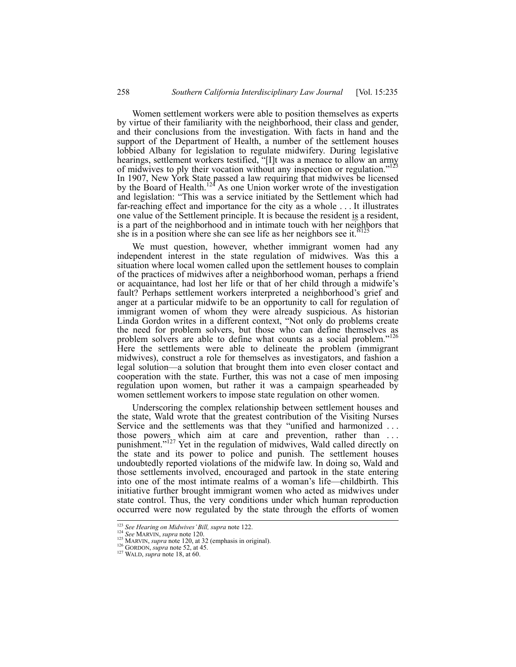Women settlement workers were able to position themselves as experts by virtue of their familiarity with the neighborhood, their class and gender, and their conclusions from the investigation. With facts in hand and the support of the Department of Health, a number of the settlement houses lobbied Albany for legislation to regulate midwifery. During legislative hearings, settlement workers testified, "[I]t was a menace to allow an army of midwives to ply their vocation without any inspection or regulation.' In 1907, New York State passed a law requiring that midwives be licensed by the Board of Health.<sup>124</sup> As one Union worker wrote of the investigation and legislation: "This was a service initiated by the Settlement which had far-reaching effect and importance for the city as a whole . . . It illustrates one value of the Settlement principle. It is because the resident is a resident, is a part of the neighborhood and in intimate touch with her neighbors that she is in a position where she can see life as her neighbors see it."<sup>125</sup>

We must question, however, whether immigrant women had any independent interest in the state regulation of midwives. Was this a situation where local women called upon the settlement houses to complain of the practices of midwives after a neighborhood woman, perhaps a friend or acquaintance, had lost her life or that of her child through a midwife's fault? Perhaps settlement workers interpreted a neighborhood's grief and anger at a particular midwife to be an opportunity to call for regulation of immigrant women of whom they were already suspicious. As historian Linda Gordon writes in a different context, "Not only do problems create the need for problem solvers, but those who can define themselves as problem solvers are able to define what counts as a social problem." Here the settlements were able to delineate the problem (immigrant midwives), construct a role for themselves as investigators, and fashion a legal solution—a solution that brought them into even closer contact and cooperation with the state. Further, this was not a case of men imposing regulation upon women, but rather it was a campaign spearheaded by women settlement workers to impose state regulation on other women.

Underscoring the complex relationship between settlement houses and the state, Wald wrote that the greatest contribution of the Visiting Nurses Service and the settlements was that they "unified and harmonized . . . those powers which aim at care and prevention, rather than ... punishment."<sup>127</sup> Yet in the regulation of midwives, Wald called directly on the state and its power to police and punish. The settlement houses undoubtedly reported violations of the midwife law. In doing so, Wald and those settlements involved, encouraged and partook in the state entering into one of the most intimate realms of a woman's life—childbirth. This initiative further brought immigrant women who acted as midwives under state control. Thus, the very conditions under which human reproduction occurred were now regulated by the state through the efforts of women

<sup>&</sup>lt;sup>123</sup> See Hearing on Midwives' Bill, supra note 122.<br><sup>124</sup> See MARVIN, *supra* note 120.<br><sup>125</sup> MARVIN, *supra* note 120, at 32 (emphasis in original).<br><sup>126</sup> GORDON, *supra* note 52, at 45.<br><sup>127</sup> WALD, *supra* note 18, at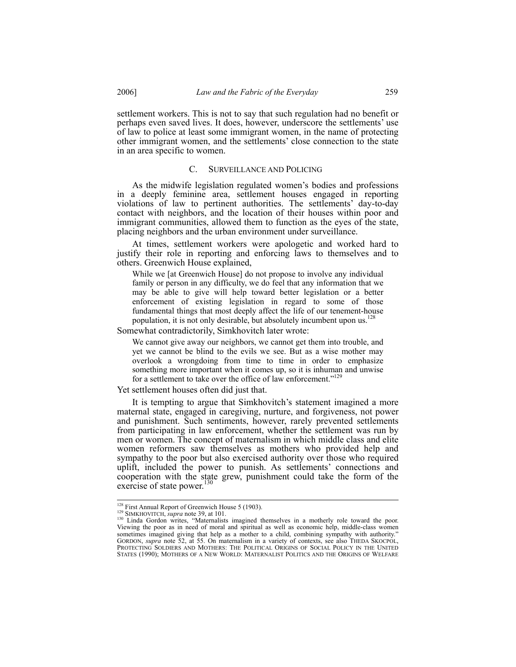settlement workers. This is not to say that such regulation had no benefit or perhaps even saved lives. It does, however, underscore the settlements' use of law to police at least some immigrant women, in the name of protecting other immigrant women, and the settlements' close connection to the state in an area specific to women.

### C. SURVEILLANCE AND POLICING

As the midwife legislation regulated women's bodies and professions in a deeply feminine area, settlement houses engaged in reporting violations of law to pertinent authorities. The settlements' day-to-day contact with neighbors, and the location of their houses within poor and immigrant communities, allowed them to function as the eyes of the state, placing neighbors and the urban environment under surveillance.

At times, settlement workers were apologetic and worked hard to justify their role in reporting and enforcing laws to themselves and to others. Greenwich House explained,

While we [at Greenwich House] do not propose to involve any individual family or person in any difficulty, we do feel that any information that we may be able to give will help toward better legislation or a better enforcement of existing legislation in regard to some of those fundamental things that most deeply affect the life of our tenement-house population, it is not only desirable, but absolutely incumbent upon us.<sup>12</sup>

Somewhat contradictorily, Simkhovitch later wrote:

We cannot give away our neighbors, we cannot get them into trouble, and yet we cannot be blind to the evils we see. But as a wise mother may overlook a wrongdoing from time to time in order to emphasize something more important when it comes up, so it is inhuman and unwise for a settlement to take over the office of law enforcement."<sup>129</sup>

Yet settlement houses often did just that.

It is tempting to argue that Simkhovitch's statement imagined a more maternal state, engaged in caregiving, nurture, and forgiveness, not power and punishment. Such sentiments, however, rarely prevented settlements from participating in law enforcement, whether the settlement was run by men or women. The concept of maternalism in which middle class and elite women reformers saw themselves as mothers who provided help and sympathy to the poor but also exercised authority over those who required uplift, included the power to punish. As settlements' connections and cooperation with the state grew, punishment could take the form of the exercise of state power.<sup>130</sup>

<sup>&</sup>lt;sup>128</sup> First Annual Report of Greenwich House 5 (1903).<br><sup>129</sup> SIMKHOVITCH, *supra* note 39, at 101.<br><sup>130</sup> Linda Gordon writes, "Maternalists imagined themselves in a motherly role toward the poor.<br>Viewing the poor as in nee sometimes imagined giving that help as a mother to a child, combining sympathy with authority." GORDON, *supra* note 52, at 55. On maternalism in a variety of contexts, see also THEDA SKOCPOL, PROTECTING SOLDIERS AND MOTHERS: THE POLITICAL ORIGINS OF SOCIAL POLICY IN THE UNITED STATES (1990); MOTHERS OF A NEW WORLD: MATERNALIST POLITICS AND THE ORIGINS OF WELFARE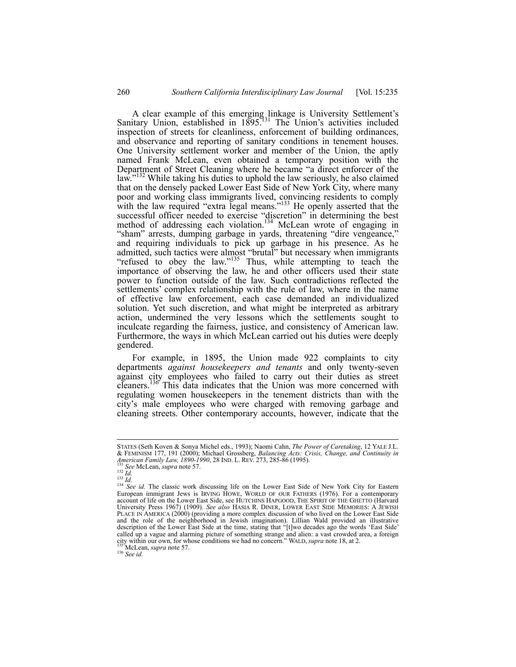A clear example of this emerging linkage is University Settlement's Sanitary Union, established in  $1895$ <sup> $131$ </sup> The Union's activities included inspection of streets for cleanliness, enforcement of building ordinances, and observance and reporting of sanitary conditions in tenement houses. One University settlement worker and member of the Union, the aptly named Frank McLean, even obtained a temporary position with the Department of Street Cleaning where he became "a direct enforcer of the law."<sup>132</sup> While taking his duties to uphold the law seriously, he also claimed that on the densely packed Lower East Side of New York City, where many poor and working class immigrants lived, convincing residents to comply with the law required "extra legal means."<sup>133</sup> He openly asserted that the successful officer needed to exercise "discretion" in determining the best method of addressing each violation.<sup>134</sup> McLean wrote of engaging in "sham" arrests, dumping garbage in yards, threatening "dire vengeance," and requiring individuals to pick up garbage in his presence. As he admitted, such tactics were almost "brutal" but necessary when immigrants "refused to obey the law."<sup>135</sup> Thus, while attempting to teach the importance of observing the law, he and other officers used their state power to function outside of the law. Such contradictions reflected the settlements' complex relationship with the rule of law, where in the name of effective law enforcement, each case demanded an individualized solution. Yet such discretion, and what might be interpreted as arbitrary action, undermined the very lessons which the settlements sought to inculcate regarding the fairness, justice, and consistency of American law. Furthermore, the ways in which McLean carried out his duties were deeply gendered.

For example, in 1895, the Union made 922 complaints to city departments *against housekeepers and tenants* and only twenty-seven against city employees who failed to carry out their duties as street cleaners.136 This data indicates that the Union was more concerned with regulating women housekeepers in the tenement districts than with the city's male employees who were charged with removing garbage and cleaning streets. Other contemporary accounts, however, indicate that the

STATES (Seth Koven & Sonya Michel eds., 1993); Naomi Cahn, *The Power of Caretaking*, 12 YALE J.L. & FEMINISM 177, 191 (2000); Michael Grossberg, *Balancing Acts: Crisis, Change, and Continuity in American Family Law, 1890-1990, 28 IND. L. REV. 273, 285-86 (1995).*<br><sup>131</sup> *See McLean, supra note 57.*<br><sup>132</sup> *Id. American Family Law, 1890-1990, 28 IND. L. REV. 273, 285-86 (1995).*<br><sup>131</sup> *See McLean, supra note 57.*<br><sup>132</sup> *Id.*<br><sup>134</sup> *See id.* The classic work discussing life on the Lower East Side of New York City for Eastern

European immigrant Jews is IRVING HOWE, WORLD OF OUR FATHERS (1976). For a contemporary account of life on the Lower East Side, see HUTCHINS HAPGOOD, THE SPIRIT OF THE GHETTO (Harvard University Press 1967) (1909). *See also* HASIA R. DINER, LOWER EAST SIDE MEMORIES: A JEWISH PLACE IN AMERICA (2000) (providing a more complex discussion of who lived on the Lower East Side and the role of the neighborhood in Jewish imagination). Lillian Wald provided an illustrative description of the Lower East Side at the time, stating that "[t]wo decades ago the words 'East Side' called up a vague and alarming picture of something strange and alien: a vast crowded area, a foreign city within our own, for whose conditions we had no concern." WALD, *supra* note 18, at 2. 135 McLean, *supra* note 57. <sup>136</sup> *See id.*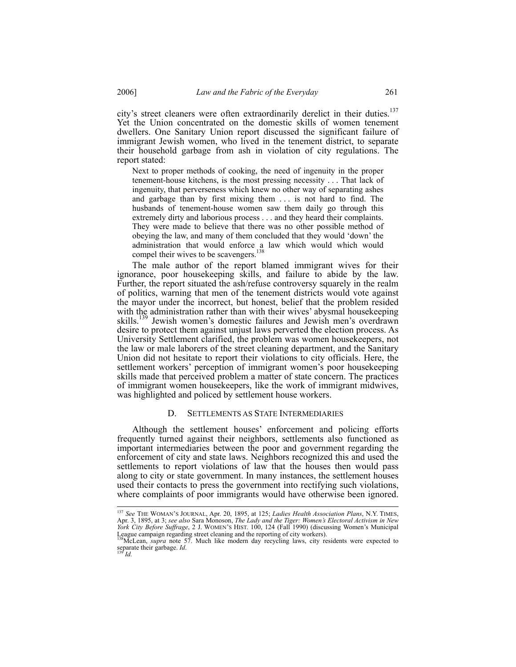city's street cleaners were often extraordinarily derelict in their duties.<sup>137</sup> Yet the Union concentrated on the domestic skills of women tenement dwellers. One Sanitary Union report discussed the significant failure of immigrant Jewish women, who lived in the tenement district, to separate their household garbage from ash in violation of city regulations. The report stated:

Next to proper methods of cooking, the need of ingenuity in the proper tenement-house kitchens, is the most pressing necessity . . . That lack of ingenuity, that perverseness which knew no other way of separating ashes and garbage than by first mixing them . . . is not hard to find. The husbands of tenement-house women saw them daily go through this extremely dirty and laborious process . . . and they heard their complaints. They were made to believe that there was no other possible method of obeying the law, and many of them concluded that they would 'down' the administration that would enforce a law which would which would compel their wives to be scavengers.<sup>138</sup>

The male author of the report blamed immigrant wives for their ignorance, poor housekeeping skills, and failure to abide by the law. Further, the report situated the ash/refuse controversy squarely in the realm of politics, warning that men of the tenement districts would vote against the mayor under the incorrect, but honest, belief that the problem resided with the administration rather than with their wives' abysmal housekeeping skills.<sup>139</sup> Jewish women's domestic failures and Jewish men's overdrawn desire to protect them against unjust laws perverted the election process. As University Settlement clarified, the problem was women housekeepers, not the law or male laborers of the street cleaning department, and the Sanitary Union did not hesitate to report their violations to city officials. Here, the settlement workers' perception of immigrant women's poor housekeeping skills made that perceived problem a matter of state concern. The practices of immigrant women housekeepers, like the work of immigrant midwives, was highlighted and policed by settlement house workers.

#### D. SETTLEMENTS AS STATE INTERMEDIARIES

Although the settlement houses' enforcement and policing efforts frequently turned against their neighbors, settlements also functioned as important intermediaries between the poor and government regarding the enforcement of city and state laws. Neighbors recognized this and used the settlements to report violations of law that the houses then would pass along to city or state government. In many instances, the settlement houses used their contacts to press the government into rectifying such violations, where complaints of poor immigrants would have otherwise been ignored.

 <sup>137</sup> *See* THE WOMAN'S JOURNAL, Apr. 20, 1895, at 125; *Ladies Health Association Plans*, N.Y. TIMES, Apr. 3, 1895, at 3; *see also* Sara Monoson, *The Lady and the Tiger: Women's Electoral Activism in New York City Before Suffrage*, 2 J. WOMEN's HIST. 100, 124 (Fall 1990) (discussing Women's Municipal *York City Before Suffrage*, 2 J. WOMEN'S HIST. 100, 124 (Fall 1990) (discussing Women's Municipal League campaign regarding street cleaning and the reporting of city workers). 138McLean, *supra* note 57. Much like modern day recycling laws, city residents were expected to

separate their garbage. *Id*. <sup>139</sup> *Id.*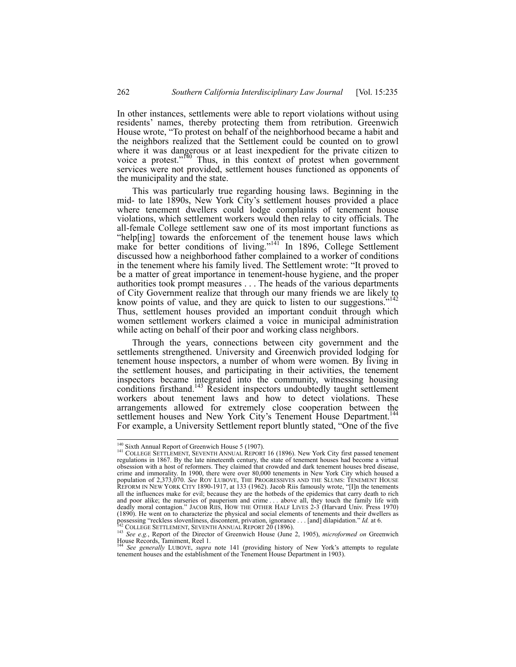In other instances, settlements were able to report violations without using residents' names, thereby protecting them from retribution. Greenwich House wrote, "To protest on behalf of the neighborhood became a habit and the neighbors realized that the Settlement could be counted on to growl where it was dangerous or at least inexpedient for the private citizen to voice a protest."<sup>140</sup> Thus, in this context of protest when government services were not provided, settlement houses functioned as opponents of the municipality and the state.

This was particularly true regarding housing laws. Beginning in the mid- to late 1890s, New York City's settlement houses provided a place where tenement dwellers could lodge complaints of tenement house violations, which settlement workers would then relay to city officials. The all-female College settlement saw one of its most important functions as "help[ing] towards the enforcement of the tenement house laws which make for better conditions of living."<sup>141</sup> In 1896, College Settlement discussed how a neighborhood father complained to a worker of conditions in the tenement where his family lived. The Settlement wrote: "It proved to be a matter of great importance in tenement-house hygiene, and the proper authorities took prompt measures . . . The heads of the various departments of City Government realize that through our many friends we are likely to know points of value, and they are quick to listen to our suggestions. Thus, settlement houses provided an important conduit through which women settlement workers claimed a voice in municipal administration while acting on behalf of their poor and working class neighbors.

Through the years, connections between city government and the settlements strengthened. University and Greenwich provided lodging for tenement house inspectors, a number of whom were women. By living in the settlement houses, and participating in their activities, the tenement inspectors became integrated into the community, witnessing housing conditions firsthand.<sup>143</sup> Resident inspectors undoubtedly taught settlement workers about tenement laws and how to detect violations. These arrangements allowed for extremely close cooperation between the settlement houses and New York City's Tenement House Department.<sup>144</sup> For example, a University Settlement report bluntly stated, "One of the five

<sup>&</sup>lt;sup>140</sup> Sixth Annual Report of Greenwich House 5 (1907).<br><sup>141</sup> COLLEGE SETTLEMENT, SEVENTH ANNUAL REPORT 16 (1896). New York City first passed tenement regulations in 1867. By the late nineteenth century, the state of tenement houses had become a virtual obsession with a host of reformers. They claimed that crowded and dark tenement houses bred disease, crime and immorality. In 1900, there were over 80,000 tenements in New York City which housed a population of 2,373,070. *See* ROY LUBOVE, THE PROGRESSIVES AND THE SLUMS: TENEMENT HOUSE REFORM IN NEW YORK CITY 1890-1917, at 133 (1962). Jacob Riis famously wrote, "[I]n the tenements all the influences make for evil; because they are the hotbeds of the epidemics that carry death to rich and poor alike; the nurseries of pauperism and crime . . . above all, they touch the family life with deadly moral contagion." JACOB RIIS, HOW THE OTHER HALF LIVES 2-3 (Harvard Univ. Press 1970) (1890). He went on to characterize the physical and social elements of tenements and their dwellers as to see e.g., Report of the Director of Greenwich House (June 2, 1905), *microformed on* Greenwich<br><sup>142</sup> COLLEGE SETTLEMENT, SEVENTH ANNUAL REPORT 20 (1896).<br><sup>143</sup> See e.g., Report of the Director of Greenwich House (June

House Records, Tamiment, Reel 1.

<sup>144</sup> *See generally* LUBOVE, *supra* note 141 (providing history of New York's attempts to regulate tenement houses and the establishment of the Tenement House Department in 1903).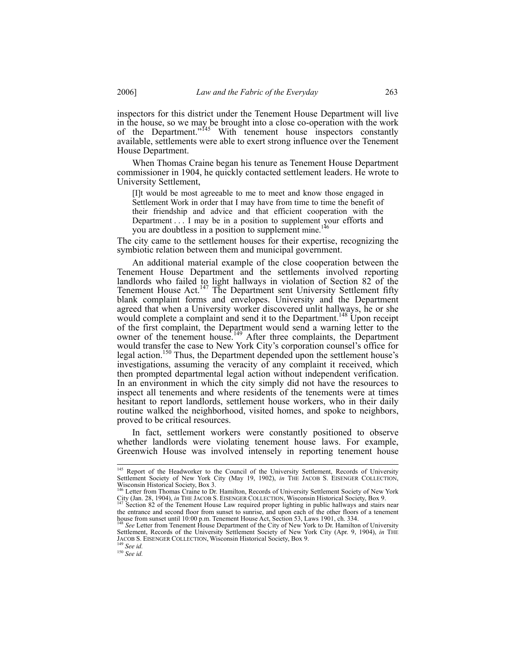inspectors for this district under the Tenement House Department will live in the house, so we may be brought into a close co-operation with the work of the Department."<sup>145</sup> With tenement house inspectors constantly available, settlements were able to exert strong influence over the Tenement House Department.

When Thomas Craine began his tenure as Tenement House Department commissioner in 1904, he quickly contacted settlement leaders. He wrote to University Settlement,

[I]t would be most agreeable to me to meet and know those engaged in Settlement Work in order that I may have from time to time the benefit of their friendship and advice and that efficient cooperation with the Department . . . I may be in a position to supplement your efforts and you are doubtless in a position to supplement mine.<sup>146</sup>

The city came to the settlement houses for their expertise, recognizing the symbiotic relation between them and municipal government.

An additional material example of the close cooperation between the Tenement House Department and the settlements involved reporting landlords who failed to light hallways in violation of Section 82 of the Tenement House Act.<sup>147</sup> The Department sent University Settlement fifty blank complaint forms and envelopes. University and the Department agreed that when a University worker discovered unlit hallways, he or she would complete a complaint and send it to the Department.<sup>148</sup> Upon receipt of the first complaint, the Department would send a warning letter to the owner of the tenement house.<sup>149</sup> After three complaints, the Department would transfer the case to New York City's corporation counsel's office for legal action.<sup>150</sup> Thus, the Department depended upon the settlement house's investigations, assuming the veracity of any complaint it received, which then prompted departmental legal action without independent verification. In an environment in which the city simply did not have the resources to inspect all tenements and where residents of the tenements were at times hesitant to report landlords, settlement house workers, who in their daily routine walked the neighborhood, visited homes, and spoke to neighbors, proved to be critical resources.

In fact, settlement workers were constantly positioned to observe whether landlords were violating tenement house laws. For example, Greenwich House was involved intensely in reporting tenement house

<sup>&</sup>lt;sup>145</sup> Report of the Headworker to the Council of the University Settlement, Records of University Settlement Society of New York City (May 19, 1902), *in* THE JACOB S. EISENGER COLLECTION, Settlement Society of New York City (May 19, 1902), *in* THE JACOB S. EISENGER COLLECTION, Wisconsin Historical Society, Box 3.

<sup>146</sup> Letter from Thomas Craine to Dr. Hamilton, Records of University Settlement Society of New York City (Jan. 28, 1904), *in* THE JACOB S. EISENGER COLLECTION, Wisconsin Historical Society, Box 9.<br><sup>147</sup> Section 82 of the Tenement House Law required proper lighting in public hallways and stairs near

the entrance and second floor from sunset to sunrise, and upon each of the other floors of a tenement house from sunset until 10:00 p.m. Tenement House Act, Section 53, Laws 1901, ch. 334.<br><sup>148</sup> *See* Letter from Tenement House Department of the City of New York to Dr. Hamilton of University

Settlement, Records of the University Settlement Society of New York City (Apr. 9, 1904), *in* THE JACOB S. EISENGER COLLECTION, Wisconsin Historical Society, Box 9. <sup>149</sup> *See id.* 

<sup>150</sup> *See id.*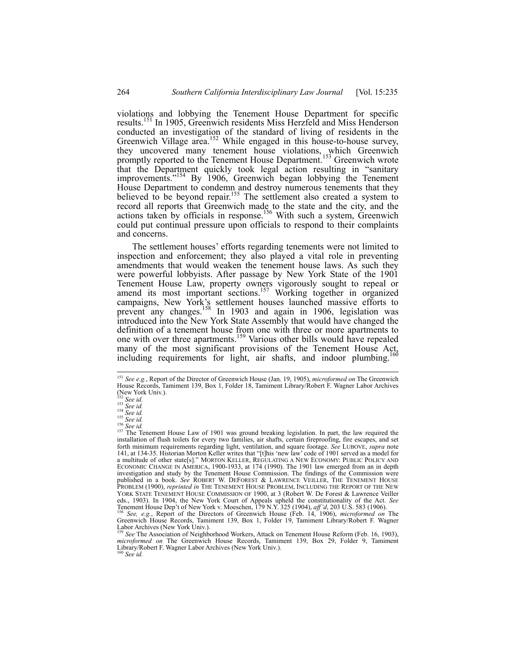violations and lobbying the Tenement House Department for specific results.151 In 1905, Greenwich residents Miss Herzfeld and Miss Henderson conducted an investigation of the standard of living of residents in the Greenwich Village area.<sup>152</sup> While engaged in this house-to-house survey, they uncovered many tenement house violations, which Greenwich promptly reported to the Tenement House Department.<sup>153</sup> Greenwich wrote that the Department quickly took legal action resulting in "sanitary improvements."154 By 1906, Greenwich began lobbying the Tenement House Department to condemn and destroy numerous tenements that they believed to be beyond repair.<sup>155</sup> The settlement also created a system to record all reports that Greenwich made to the state and the city, and the actions taken by officials in response.<sup>156</sup> With such a system, Greenwich could put continual pressure upon officials to respond to their complaints and concerns.

The settlement houses' efforts regarding tenements were not limited to inspection and enforcement; they also played a vital role in preventing amendments that would weaken the tenement house laws. As such they were powerful lobbyists. After passage by New York State of the 1901 Tenement House Law, property owners vigorously sought to repeal or amend its most important sections.<sup>157</sup> Working together in organized campaigns, New York's settlement houses launched massive efforts to prevent any changes.<sup>158</sup> In 1903 and again in 1906, legislation was introduced into the New York State Assembly that would have changed the definition of a tenement house from one with three or more apartments to one with over three apartments.<sup>159</sup> Various other bills would have repealed many of the most significant provisions of the Tenement House Act, including requirements for light, air shafts, and indoor plumbing.<sup>1</sup>

<sup>&</sup>lt;sup>151</sup> *See e.g.*, Report of the Director of Greenwich House (Jan. 19, 1905), *microformed on* The Greenwich House Records, Tamiment 139, Box 1, Folder 18, Tamiment Library/Robert F. Wagner Labor Archives (New York Univ.).<br> $^{152}_{152}$  See id.<br> $^{153}_{25}$  See id.

<sup>&</sup>lt;sup>152</sup> See id.<br>
<sup>153</sup> See id.<br>
<sup>153</sup> See id.<br>
<sup>155</sup> See id.<br>
<sup>155</sup> The Tenement House Law of 1901 was ground breaking legislation. In part, the law required the<br>
<sup>157</sup> The Tenement House Law of 1901 was ground breaking leg 141, at 134-35. Historian Morton Keller writes that "[t]his 'new law' code of 1901 served as a model for a multitude of other state[s]." MORTON KELLER, REGULATING A NEW ECONOMY: PUBLIC POLICY AND ECONOMIC CHANGE IN AMERICA, 1900-1933, at 174 (1990). The 1901 law emerged from an in depth investigation and study by the Tenement House Commission. The findings of the Commission were published in a book. *See* ROBERT W. DEFOREST & LAWRENCE VEILLER, THE TENEMENT HOUSE PROBLEM (1900), *reprinted in* THE TENEMENT HOUSE PROBLEM, INCLUDING THE REPORT OF THE NEW YORK STATE TENEMENT HOUSE COMMISSION OF 1900, at 3 (Robert W. De Forest & Lawrence Veiller eds., 1903). In 1904, the New York Court of Appeals upheld the constitutionality of the Act. *See*

Tenement House Dep't of New York v. Moeschen, 179 N.Y. 325 (1904), *aff'd*, 203 U.S. 583 (1906).<br><sup>158</sup> *See*, *e.g.*, Report of the Directors of Greenwich House (Feb. 14, 1906), *microformed on* The Greenwich House Records

<sup>159</sup> *See* The Association of Neighborhood Workers, Attack on Tenement House Reform (Feb. 16, 1903), *microformed on* The Greenwich House Records, Tamiment 139, Box 29, Folder 9, Tamiment Library/Robert F. Wagner Labor Archives (New York Univ.). <sup>160</sup> *See id.*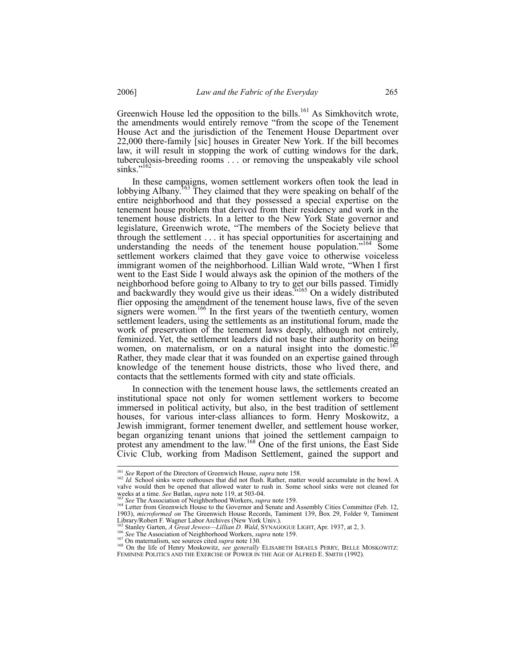Greenwich House led the opposition to the bills.<sup>161</sup> As Simkhovitch wrote, the amendments would entirely remove "from the scope of the Tenement House Act and the jurisdiction of the Tenement House Department over 22,000 there-family [sic] houses in Greater New York. If the bill becomes law, it will result in stopping the work of cutting windows for the dark, tuberculosis-breeding rooms . . . or removing the unspeakably vile school sinks."<sup>162</sup>

In these campaigns, women settlement workers often took the lead in lobbying Albany.<sup>163</sup> They claimed that they were speaking on behalf of the entire neighborhood and that they possessed a special expertise on the tenement house problem that derived from their residency and work in the tenement house districts. In a letter to the New York State governor and legislature, Greenwich wrote, "The members of the Society believe that through the settlement . . . it has special opportunities for ascertaining and understanding the needs of the tenement house population."<sup>164</sup> Some settlement workers claimed that they gave voice to otherwise voiceless immigrant women of the neighborhood. Lillian Wald wrote, "When I first went to the East Side I would always ask the opinion of the mothers of the neighborhood before going to Albany to try to get our bills passed. Timidly and backwardly they would give us their ideas."<sup>165</sup> On a widely distributed flier opposing the amendment of the tenement house laws, five of the seven signers were women.<sup>166</sup> In the first years of the twentieth century, women settlement leaders, using the settlements as an institutional forum, made the work of preservation of the tenement laws deeply, although not entirely, feminized. Yet, the settlement leaders did not base their authority on being women, on maternalism, or on a natural insight into the domestic.<sup>1</sup> Rather, they made clear that it was founded on an expertise gained through knowledge of the tenement house districts, those who lived there, and contacts that the settlements formed with city and state officials.

In connection with the tenement house laws, the settlements created an institutional space not only for women settlement workers to become immersed in political activity, but also, in the best tradition of settlement houses, for various inter-class alliances to form. Henry Moskowitz, a Jewish immigrant, former tenement dweller, and settlement house worker, began organizing tenant unions that joined the settlement campaign to protest any amendment to the law.<sup>168</sup> One of the first unions, the East Side Civic Club, working from Madison Settlement, gained the support and

<sup>&</sup>lt;sup>161</sup> See Report of the Directors of Greenwich House, *supra* note 158.<br><sup>162</sup> *Id.* School sinks were outhouses that did not flush. Rather, matter would accumulate in the bowl. A valve would then be opened that allowed wa weeks at a time. See Batlan, *supra* note 119, at 503-04.<br>
<sup>163</sup> See The Association of Neighborhood Workers, *supra* note 159.<br>
<sup>164</sup> Letter from Greenwich House to the Governor and Senate and Assembly Cities Committee (F

<sup>1903),</sup> *microformed on* The Greenwich House Records, Tamiment 139, Box 29, Folder 9, Tamiment Library/Robert F. Wagner Labor Archives (New York Univ.).<br><sup>165</sup> Stanley Garten, A Great Jewess—Lillian D. Wald, SYNAGOGUE LIGHT, Apr. 1937, at 2, 3.

<sup>&</sup>lt;sup>165</sup> Stanley Garten, *A Great Jewess—Lillian D. Wald*, SYNAGOGUE LIGHT, Apr. 1937, at 2, 3.<br><sup>166</sup> See The Association of Neighborhood Workers, *supra* note 159.<br><sup>167</sup> On maternalism, see sources cited *supra* note 130.<br><sup></sup> FEMININE POLITICS AND THE EXERCISE OF POWER IN THE AGE OF ALFRED E. SMITH (1992).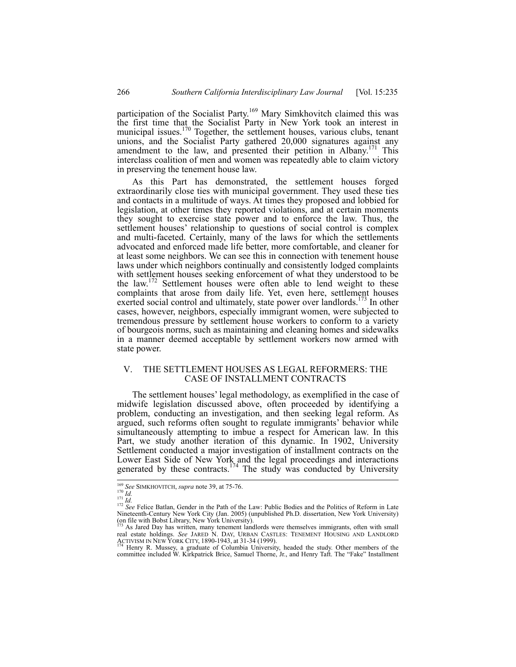participation of the Socialist Party.<sup>169</sup> Mary Simkhovitch claimed this was the first time that the Socialist Party in New York took an interest in municipal issues.<sup>170</sup> Together, the settlement houses, various clubs, tenant unions, and the Socialist Party gathered 20,000 signatures against any amendment to the law, and presented their petition in Albany.<sup>171</sup> This interclass coalition of men and women was repeatedly able to claim victory in preserving the tenement house law.

As this Part has demonstrated, the settlement houses forged extraordinarily close ties with municipal government. They used these ties and contacts in a multitude of ways. At times they proposed and lobbied for legislation, at other times they reported violations, and at certain moments they sought to exercise state power and to enforce the law. Thus, the settlement houses' relationship to questions of social control is complex and multi-faceted. Certainly, many of the laws for which the settlements advocated and enforced made life better, more comfortable, and cleaner for at least some neighbors. We can see this in connection with tenement house laws under which neighbors continually and consistently lodged complaints with settlement houses seeking enforcement of what they understood to be the law.<sup>172</sup> Settlement houses were often able to lend weight to these complaints that arose from daily life. Yet, even here, settlement houses exerted social control and ultimately, state power over landlords.<sup>173</sup> In other cases, however, neighbors, especially immigrant women, were subjected to tremendous pressure by settlement house workers to conform to a variety of bourgeois norms, such as maintaining and cleaning homes and sidewalks in a manner deemed acceptable by settlement workers now armed with state power.

# V. THE SETTLEMENT HOUSES AS LEGAL REFORMERS: THE CASE OF INSTALLMENT CONTRACTS

The settlement houses' legal methodology, as exemplified in the case of midwife legislation discussed above, often proceeded by identifying a problem, conducting an investigation, and then seeking legal reform. As argued, such reforms often sought to regulate immigrants' behavior while simultaneously attempting to imbue a respect for American law. In this Part, we study another iteration of this dynamic. In 1902, University Settlement conducted a major investigation of installment contracts on the Lower East Side of New York and the legal proceedings and interactions generated by these contracts.<sup>174</sup> The study was conducted by University

<sup>&</sup>lt;sup>169</sup> *See* SIMKHOVITCH, *supra* note 39, at 75-76.<br><sup>170</sup> *Id.*<br><sup>172</sup> *See* Felice Batlan, Gender in the Path of the Law: Public Bodies and the Politics of Reform in Late<br><sup>172</sup> *See* Felice Batlan, Gender in the Path of th Nineteenth-Century New York City (Jan. 2005) (unpublished Ph.D. dissertation, New York University) (on file with Bobst Library, New York University). 173 As Jared Day has written, many tenement landlords were themselves immigrants, often with small  $^{173}$  As Jared Day has written, many tenement landlords were themselv

real estate holdings. *See* JARED N. DAY, URBAN CASTLES: TENEMENT HOUSING AND LANDLORD<br>ACTIVISM IN NEW YORK CITY, 1890-1943, at 31-34 (1999). ACTIVISM IN NEW YORK CITY, 1890-1943, at 31-34 (1999).<br><sup>174</sup> Henry R. Mussey, a graduate of Columbia University, headed the study. Other members of the

committee included W. Kirkpatrick Brice, Samuel Thorne, Jr., and Henry Taft. The "Fake" Installment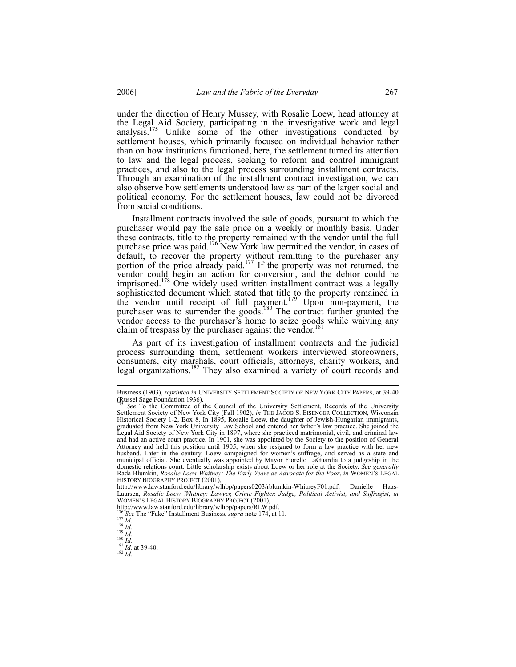under the direction of Henry Mussey, with Rosalie Loew, head attorney at the Legal Aid Society, participating in the investigative work and legal analysis.175 Unlike some of the other investigations conducted by settlement houses, which primarily focused on individual behavior rather than on how institutions functioned, here, the settlement turned its attention to law and the legal process, seeking to reform and control immigrant practices, and also to the legal process surrounding installment contracts. Through an examination of the installment contract investigation, we can also observe how settlements understood law as part of the larger social and political economy. For the settlement houses, law could not be divorced from social conditions.

Installment contracts involved the sale of goods, pursuant to which the purchaser would pay the sale price on a weekly or monthly basis. Under these contracts, title to the property remained with the vendor until the full purchase price was paid.<sup>176</sup> New York law permitted the vendor, in cases of default, to recover the property without remitting to the purchaser any portion of the price already paid.<sup>177</sup> If the property was not returned, the vendor could begin an action for conversion, and the debtor could be imprisoned.<sup>178</sup> One widely used written installment contract was a legally sophisticated document which stated that title to the property remained in the vendor until receipt of full payment.<sup>179</sup> Upon non-payment, the purchaser was to surrender the goods.<sup>180</sup> The contract further granted the vendor access to the purchaser's home to seize goods while waiving any claim of trespass by the purchaser against the vendor.<sup>1</sup>

As part of its investigation of installment contracts and the judicial process surrounding them, settlement workers interviewed storeowners, consumers, city marshals, court officials, attorneys, charity workers, and legal organizations.<sup>182</sup> They also examined a variety of court records and

Business (1903), *reprinted in* UNIVERSITY SETTLEMENT SOCIETY OF NEW YORK CITY PAPERS, at 39-40 (Russel Sage Foundation 1936). <sup>175</sup> *See* To the Committee of the Council of the University Settlement, Records of the University

Settlement Society of New York City (Fall 1902), *in* THE JACOB S. EISENGER COLLECTION, Wisconsin Historical Society 1-2, Box 8. In 1895, Rosalie Loew, the daughter of Jewish-Hungarian immigrants, graduated from New York University Law School and entered her father's law practice. She joined the Legal Aid Society of New York City in 1897, where she practiced matrimonial, civil, and criminal law and had an active court practice. In 1901, she was appointed by the Society to the position of General Attorney and held this position until 1905, when she resigned to form a law practice with her new husband. Later in the century, Loew campaigned for women's suffrage, and served as a state and municipal official. She eventually was appointed by Mayor Fiorello LaGuardia to a judgeship in the domestic relations court. Little scholarship exists about Loew or her role at the Society. *See generally* Rada Blumkin, *Rosalie Loew Whitney: The Early Years as Advocate for the Poor*, *in* WOMEN'S LEGAL HISTORY BIOGRAPHY PROJECT (2001),

http://www.law.stanford.edu/library/wlhbp/papers0203/rblumkin-WhitneyF01.pdf; Danielle Laursen, *Rosalie Loew Whitney: Lawyer, Crime Fighter, Judge, Political Activist, and Suffragist*, *in* WOMEN'S LEGAL HISTORY BIOGRAPHY PROJECT (2001),

http://www.law.stanford.edu/library/wlhbp/papers/RLW.pdf.<br><sup>176</sup> See The "Fake" Installment Business, *supra* note 174, at 11.<br><sup>177</sup> Id.<br><sup>178</sup> Id.<br><sup>181</sup> Id.<br><sup>181</sup> Id.<br><sup>181</sup> Id. at 39-40.<br><sup>181</sup> Id. at 39-40.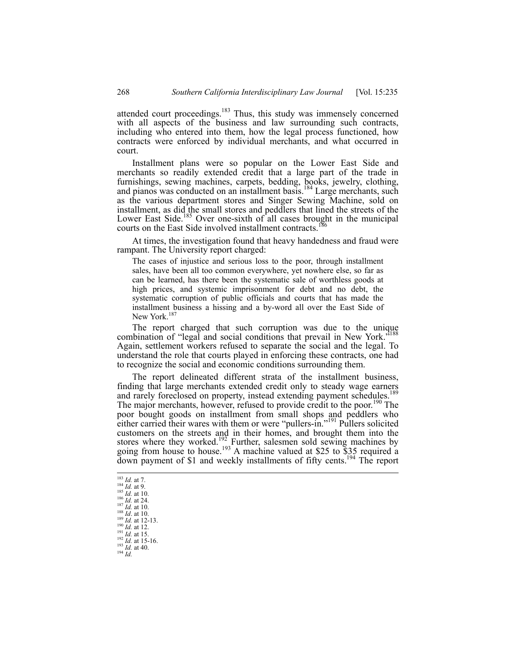attended court proceedings.<sup>183</sup> Thus, this study was immensely concerned with all aspects of the business and law surrounding such contracts, including who entered into them, how the legal process functioned, how contracts were enforced by individual merchants, and what occurred in court.

Installment plans were so popular on the Lower East Side and merchants so readily extended credit that a large part of the trade in furnishings, sewing machines, carpets, bedding, books, jewelry, clothing, and pianos was conducted on an installment basis.<sup>184</sup> Large merchants, such as the various department stores and Singer Sewing Machine, sold on installment, as did the small stores and peddlers that lined the streets of the Lower East Side.<sup>185</sup> Over one-sixth of all cases brought in the municipal courts on the East Side involved installment contracts.<sup>1</sup>

At times, the investigation found that heavy handedness and fraud were rampant. The University report charged:

The cases of injustice and serious loss to the poor, through installment sales, have been all too common everywhere, yet nowhere else, so far as can be learned, has there been the systematic sale of worthless goods at high prices, and systemic imprisonment for debt and no debt, the systematic corruption of public officials and courts that has made the installment business a hissing and a by-word all over the East Side of New York.<sup>187</sup>

The report charged that such corruption was due to the unique combination of "legal and social conditions that prevail in New York." Again, settlement workers refused to separate the social and the legal. To understand the role that courts played in enforcing these contracts, one had to recognize the social and economic conditions surrounding them.

The report delineated different strata of the installment business, finding that large merchants extended credit only to steady wage earners and rarely foreclosed on property, instead extending payment schedules.<sup>189</sup> The major merchants, however, refused to provide credit to the poor.190 The poor bought goods on installment from small shops and peddlers who either carried their wares with them or were "pullers-in."<sup>191</sup> Pullers solicited customers on the streets and in their homes, and brought them into the stores where they worked.<sup>192</sup> Further, salesmen sold sewing machines by going from house to house.<sup>193</sup> A machine valued at \$25 to \$35 required a down payment of \$1 and weekly installments of fifty cents.194 The report

<sup>183</sup> *Id.* at 7.<br>
<sup>184</sup> *Id.* at 9.<br>
<sup>185</sup> *Id.* at 10.<br>
<sup>186</sup> *Id.* at 10.<br>
<sup>186</sup> *Id.* at 10.<br>
<sup>188</sup> *Id.* at 112-13.<br>
<sup>190</sup> *Id.* at 12-<br>
<sup>191</sup> *Id.* at 15-16.<br>
<sup>193</sup> *Id.* at 15-16.<br>
<sup>193</sup> *Id.* at 40.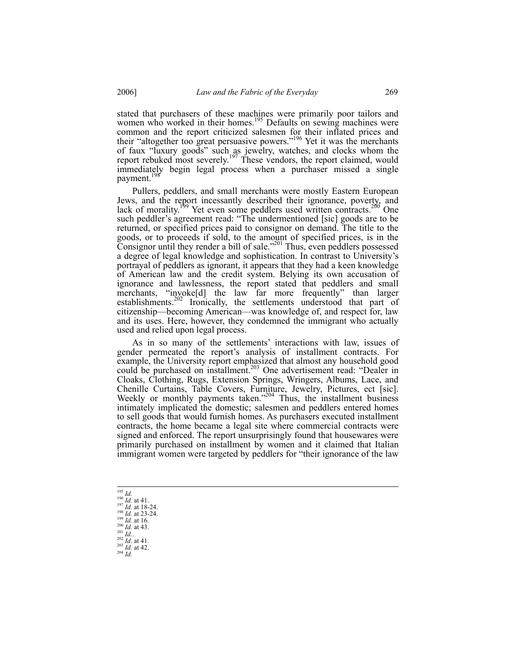stated that purchasers of these machines were primarily poor tailors and women who worked in their homes.<sup>195</sup> Defaults on sewing machines were common and the report criticized salesmen for their inflated prices and their "altogether too great persuasive powers."<sup>196</sup> Yet it was the merchants of faux "luxury goods" such as jewelry, watches, and clocks whom the report rebuked most severely.<sup>197</sup> These vendors, the report claimed, would immediately begin legal process when a purchaser missed a single payment.

Pullers, peddlers, and small merchants were mostly Eastern European Jews, and the report incessantly described their ignorance, poverty, and lack of morality.<sup>159</sup> Yet even some peddlers used written contracts.<sup>200</sup> One such peddler's agreement read: "The undermentioned [sic] goods are to be returned, or specified prices paid to consignor on demand. The title to the goods, or to proceeds if sold, to the amount of specified prices, is in the Consignor until they render a bill of sale."201 Thus, even peddlers possessed a degree of legal knowledge and sophistication. In contrast to University's portrayal of peddlers as ignorant, it appears that they had a keen knowledge of American law and the credit system. Belying its own accusation of ignorance and lawlessness, the report stated that peddlers and small merchants, "invoke[d] the law far more frequently" than larger establishments.<sup>202</sup> Ironically, the settlements understood that part of citizenship—becoming American—was knowledge of, and respect for, law and its uses. Here, however, they condemned the immigrant who actually used and relied upon legal process.

As in so many of the settlements' interactions with law, issues of gender permeated the report's analysis of installment contracts. For example, the University report emphasized that almost any household good could be purchased on installment.<sup>203</sup> One advertisement read: "Dealer in Cloaks, Clothing, Rugs, Extension Springs, Wringers, Albums, Lace, and Chenille Curtains, Table Covers, Furniture, Jewelry, Pictures, ect [sic]. Weekly or monthly payments taken.<sup>7204</sup> Thus, the installment business intimately implicated the domestic; salesmen and peddlers entered homes to sell goods that would furnish homes. As purchasers executed installment contracts, the home became a legal site where commercial contracts were signed and enforced. The report unsurprisingly found that housewares were primarily purchased on installment by women and it claimed that Italian immigrant women were targeted by peddlers for "their ignorance of the law

195 *Id.* 196 *Id.* at 41. 197 *Id.* at 18-24. 198 *Id.* at 23-24. 199 *Id.* at 16. 200 *Id.* at 43. 201 *Id.*. 202 *Id*. at 41. 203 *Id.* at 42. 204 *Id.*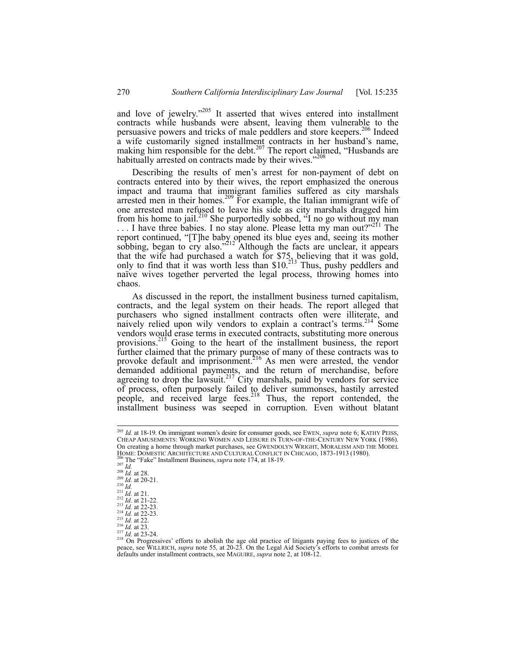and love of jewelry."<sup>205</sup> It asserted that wives entered into installment contracts while husbands were absent, leaving them vulnerable to the persuasive powers and tricks of male peddlers and store keepers.<sup>206</sup> Indeed a wife customarily signed installment contracts in her husband's name, making him responsible for the debt.<sup>207</sup> The report claimed, "Husbands are habitually arrested on contracts made by their wives." $^{208}$ 

Describing the results of men's arrest for non-payment of debt on contracts entered into by their wives, the report emphasized the onerous impact and trauma that immigrant families suffered as city marshals arrested men in their homes.<sup>209</sup> For example, the Italian immigrant wife of one arrested man refused to leave his side as city marshals dragged him from his home to jail.<sup>210</sup> She purportedly sobbed,  $\cdot$ <sup>7</sup>I no go without my man ... I have three babies. I no stay alone. Please letta my man out?"<sup>211</sup> The report continued, "[T]he baby opened its blue eyes and, seeing its mother sobbing, began to cry also."<sup>212</sup> Although the facts are unclear, it appears that the wife had purchased a watch for \$75, believing that it was gold, only to find that it was worth less than  $$10<sup>213</sup>$  Thus, pushy peddlers and naïve wives together perverted the legal process, throwing homes into chaos.

As discussed in the report, the installment business turned capitalism, contracts, and the legal system on their heads. The report alleged that purchasers who signed installment contracts often were illiterate, and naively relied upon wily vendors to explain a contract's terms.<sup>214</sup> Some vendors would erase terms in executed contracts, substituting more onerous provisions.215 Going to the heart of the installment business, the report further claimed that the primary purpose of many of these contracts was to provoke default and imprisonment.<sup>216</sup> As men were arrested, the vendor demanded additional payments, and the return of merchandise, before agreeing to drop the lawsuit.<sup>217</sup> City marshals, paid by vendors for service of process, often purposely failed to deliver summonses, hastily arrested people, and received large fees.<sup>218</sup> Thus, the report contended, the installment business was seeped in corruption. Even without blatant

 <sup>205</sup> *Id.* at 18-19. On immigrant women's desire for consumer goods, see EWEN, *supra* note 6; KATHY PEISS, CHEAP AMUSEMENTS: WORKING WOMEN AND LEISURE IN TURN-OF-THE-CENTURY NEW YORK (1986). On creating a home through market purchases, see GWENDOLYN WRIGHT, MORALISM AND THE MODEL HOME DOMESTIC ARCHITECTURE AND CULTURAL CONFLICT IN CHICAGO, 1873-1913 (1980). 206 The "Fake" Installment Business, *supra* note 174, at 18-19.<br>
207 Id.<br>
208 Id. at 28.<br>
209 Id. at 20-21.<br>
21 Id. at 20-21.<br>
21 Id. at 21-22.<br>
21 Id. at 22-23.<br>
213 Id. at 22-23.<br>
215 Id. at 22-23.<br>
216 Id. at 22-23.<br>

<sup>&</sup>lt;sup>218</sup> On Progressives' efforts to abolish the age old practice of litigants paying fees to justices of the peace, see WILLRICH, *supra* note 55, at 20-23. On the Legal Aid Society's efforts to combat arrests for defaults under installment contracts, see MAGUIRE, *supra* note 2, at 108-12.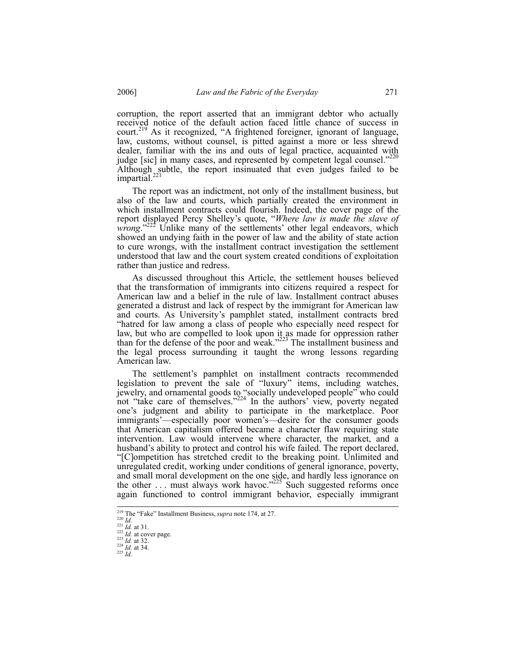corruption, the report asserted that an immigrant debtor who actually received notice of the default action faced little chance of success in court.<sup>219</sup> As it recognized, "A frightened foreigner, ignorant of language, law, customs, without counsel, is pitted against a more or less shrewd dealer, familiar with the ins and outs of legal practice, acquainted with judge [sic] in many cases, and represented by competent legal counsel."<sup>220</sup> Although subtle, the report insinuated that even judges failed to be impartial.<sup>221</sup>

The report was an indictment, not only of the installment business, but also of the law and courts, which partially created the environment in which installment contracts could flourish. Indeed, the cover page of the report displayed Percy Shelley's quote, "*Where law is made the slave of wrong.*"<sup>222</sup> Unlike many of the settlements' other legal endeavors, which showed an undying faith in the power of law and the ability of state action to cure wrongs, with the installment contract investigation the settlement understood that law and the court system created conditions of exploitation rather than justice and redress.

As discussed throughout this Article, the settlement houses believed that the transformation of immigrants into citizens required a respect for American law and a belief in the rule of law. Installment contract abuses generated a distrust and lack of respect by the immigrant for American law and courts. As University's pamphlet stated, installment contracts bred "hatred for law among a class of people who especially need respect for law, but who are compelled to look upon it as made for oppression rather than for the defense of the poor and weak."<sup>223</sup> The installment business and the legal process surrounding it taught the wrong lessons regarding American law.

The settlement's pamphlet on installment contracts recommended legislation to prevent the sale of "luxury" items, including watches, jewelry, and ornamental goods to "socially undeveloped people" who could not "take care of themselves."<sup>224</sup> In the authors' view, poverty negated one's judgment and ability to participate in the marketplace. Poor immigrants'—especially poor women's—desire for the consumer goods that American capitalism offered became a character flaw requiring state intervention. Law would intervene where character, the market, and a husband's ability to protect and control his wife failed. The report declared, "[C]ompetition has stretched credit to the breaking point. Unlimited and unregulated credit, working under conditions of general ignorance, poverty, and small moral development on the one side, and hardly less ignorance on the other  $\dots$  must always work havoc."<sup>225</sup> Such suggested reforms once again functioned to control immigrant behavior, especially immigrant

<sup>&</sup>lt;sup>219</sup> The "Fake" Installment Business, *supra* note 174, at 27.<br>
<sup>221</sup> *Id.* at 31.<br>
<sup>222</sup> *Id.* at cover page.<br>
<sup>222</sup> *Id.* at 32.<br>
<sup>224</sup> *Id.* at 34.<br>
<sup>225</sup> *Id.*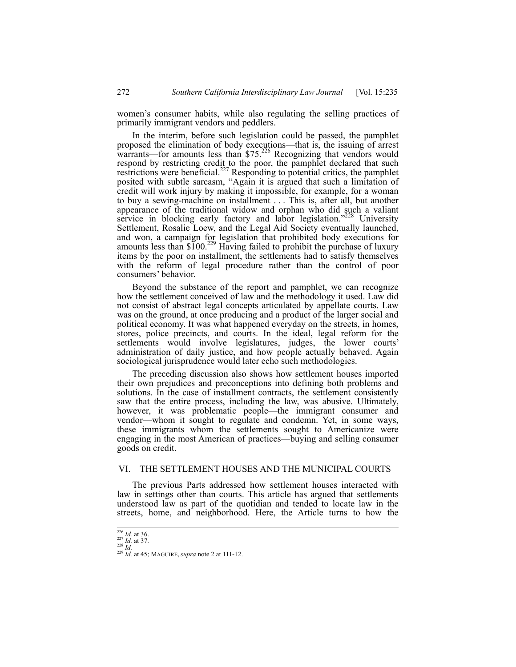women's consumer habits, while also regulating the selling practices of primarily immigrant vendors and peddlers.

In the interim, before such legislation could be passed, the pamphlet proposed the elimination of body executions—that is, the issuing of arrest warrants—for amounts less than \$75.<sup>226</sup> Recognizing that vendors would respond by restricting credit to the poor, the pamphlet declared that such restrictions were beneficial.<sup>227</sup> Responding to potential critics, the pamphlet posited with subtle sarcasm, "Again it is argued that such a limitation of credit will work injury by making it impossible, for example, for a woman to buy a sewing-machine on installment . . . This is, after all, but another appearance of the traditional widow and orphan who did such a valiant service in blocking early factory and labor legislation."<sup>228</sup> University Settlement, Rosalie Loew, and the Legal Aid Society eventually launched, and won, a campaign for legislation that prohibited body executions for amounts less than \$100.<sup>229</sup> Having failed to prohibit the purchase of luxury items by the poor on installment, the settlements had to satisfy themselves with the reform of legal procedure rather than the control of poor consumers' behavior.

Beyond the substance of the report and pamphlet, we can recognize how the settlement conceived of law and the methodology it used. Law did not consist of abstract legal concepts articulated by appellate courts. Law was on the ground, at once producing and a product of the larger social and political economy. It was what happened everyday on the streets, in homes, stores, police precincts, and courts. In the ideal, legal reform for the settlements would involve legislatures, judges, the lower courts' administration of daily justice, and how people actually behaved. Again sociological jurisprudence would later echo such methodologies.

The preceding discussion also shows how settlement houses imported their own prejudices and preconceptions into defining both problems and solutions. In the case of installment contracts, the settlement consistently saw that the entire process, including the law, was abusive. Ultimately, however, it was problematic people—the immigrant consumer and vendor—whom it sought to regulate and condemn. Yet, in some ways, these immigrants whom the settlements sought to Americanize were engaging in the most American of practices—buying and selling consumer goods on credit.

## VI. THE SETTLEMENT HOUSES AND THE MUNICIPAL COURTS

The previous Parts addressed how settlement houses interacted with law in settings other than courts. This article has argued that settlements understood law as part of the quotidian and tended to locate law in the streets, home, and neighborhood. Here, the Article turns to how the

<sup>226</sup> *Id.* at 36. 227 *Id.* at 37. 228 *Id.* <sup>229</sup> *Id.* at 45; MAGUIRE, *supra* note 2 at 111-12.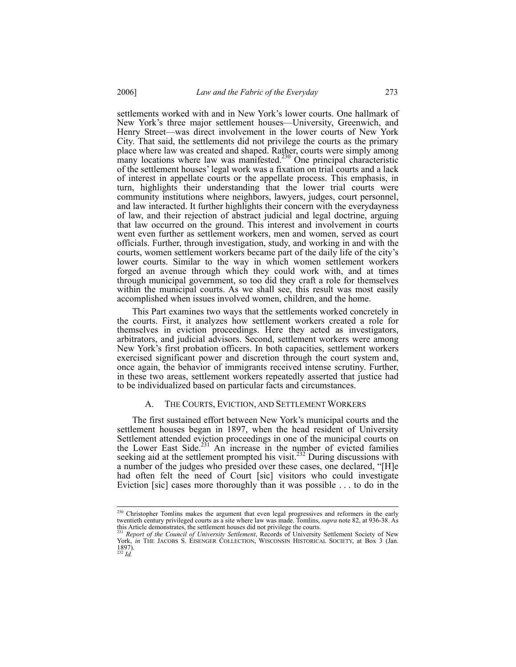settlements worked with and in New York's lower courts. One hallmark of New York's three major settlement houses—University, Greenwich, and Henry Street—was direct involvement in the lower courts of New York City. That said, the settlements did not privilege the courts as the primary place where law was created and shaped. Rather, courts were simply among many locations where law was manifested.<sup>230</sup> One principal characteristic of the settlement houses' legal work was a fixation on trial courts and a lack of interest in appellate courts or the appellate process. This emphasis, in turn, highlights their understanding that the lower trial courts were community institutions where neighbors, lawyers, judges, court personnel, and law interacted. It further highlights their concern with the everydayness of law, and their rejection of abstract judicial and legal doctrine, arguing that law occurred on the ground. This interest and involvement in courts went even further as settlement workers, men and women, served as court officials. Further, through investigation, study, and working in and with the courts, women settlement workers became part of the daily life of the city's lower courts. Similar to the way in which women settlement workers forged an avenue through which they could work with, and at times through municipal government, so too did they craft a role for themselves within the municipal courts. As we shall see, this result was most easily accomplished when issues involved women, children, and the home.

This Part examines two ways that the settlements worked concretely in the courts. First, it analyzes how settlement workers created a role for themselves in eviction proceedings. Here they acted as investigators, arbitrators, and judicial advisors. Second, settlement workers were among New York's first probation officers. In both capacities, settlement workers exercised significant power and discretion through the court system and, once again, the behavior of immigrants received intense scrutiny. Further, in these two areas, settlement workers repeatedly asserted that justice had to be individualized based on particular facts and circumstances.

#### A. THE COURTS, EVICTION, AND SETTLEMENT WORKERS

The first sustained effort between New York's municipal courts and the settlement houses began in 1897, when the head resident of University Settlement attended eviction proceedings in one of the municipal courts on the Lower East Side. $231$  An increase in the number of evicted families seeking aid at the settlement prompted his visit.<sup>232</sup> During discussions with a number of the judges who presided over these cases, one declared, "[H]e had often felt the need of Court [sic] visitors who could investigate Eviction [sic] cases more thoroughly than it was possible . . . to do in the

<sup>&</sup>lt;sup>230</sup> Christopher Tomlins makes the argument that even legal progressives and reformers in the early twentieth century privileged courts as a site where law was made. Tomlins, *supra* note 82, at 936-38. As this Article demonstrates, the settlement houses did not privilege the courts.

<sup>231</sup> *Report of the Council of University Settlement*, Records of University Settlement Society of New York, *in* THE JACOBS S. EISENGER COLLECTION, WISCONSIN HISTORICAL SOCIETY, at Box 3 (Jan. 1897). <sup>232</sup> *Id.*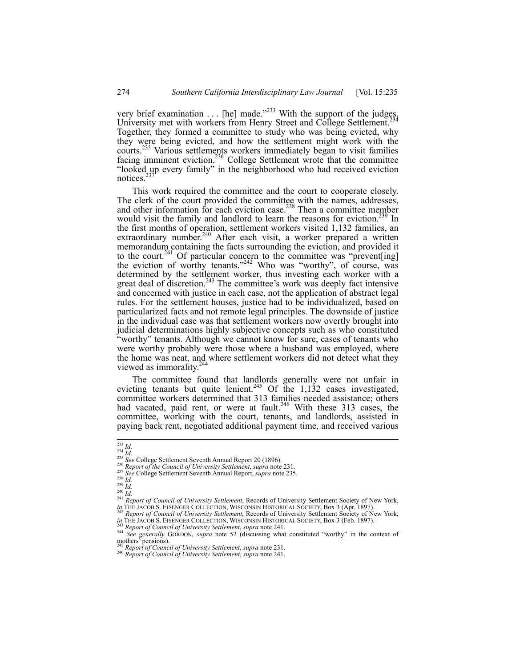very brief examination . . . [he] made.<sup>"233</sup> With the support of the judges, University met with workers from Henry Street and College Settlement.<sup>2</sup> Together, they formed a committee to study who was being evicted, why they were being evicted, and how the settlement might work with the courts.<sup>235</sup> Various settlements workers immediately began to visit families facing imminent eviction.<sup>236</sup> College Settlement wrote that the committee "looked up every family" in the neighborhood who had received eviction notices.<sup>2</sup>

This work required the committee and the court to cooperate closely. The clerk of the court provided the committee with the names, addresses, and other information for each eviction case.<sup>238</sup> Then a committee member would visit the family and landlord to learn the reasons for eviction.<sup>239</sup> In the first months of operation, settlement workers visited 1,132 families, an extraordinary number.<sup>240</sup> After each visit, a worker prepared a written memorandum containing the facts surrounding the eviction, and provided it to the court.<sup>241</sup> Of particular concern to the committee was "prevent[ing] the eviction of worthy tenants." $242$  Who was "worthy", of course, was determined by the settlement worker, thus investing each worker with a great deal of discretion.<sup>243</sup> The committee's work was deeply fact intensive and concerned with justice in each case, not the application of abstract legal rules. For the settlement houses, justice had to be individualized, based on particularized facts and not remote legal principles. The downside of justice in the individual case was that settlement workers now overtly brought into judicial determinations highly subjective concepts such as who constituted "worthy" tenants. Although we cannot know for sure, cases of tenants who were worthy probably were those where a husband was employed, where the home was neat, and where settlement workers did not detect what they viewed as immorality.<sup>244</sup>

The committee found that landlords generally were not unfair in evicting tenants but quite lenient.<sup>245</sup> Of the 1,132 cases investigated, committee workers determined that 313 families needed assistance; others had vacated, paid rent, or were at fault.<sup>246</sup> With these 313 cases, the committee, working with the court, tenants, and landlords, assisted in paying back rent, negotiated additional payment time, and received various

<sup>&</sup>lt;sup>233</sup> Id.<br>
<sup>234</sup> Id.<br>
<sup>235</sup> See College Settlement Seventh Annual Report 20 (1896).<br>
<sup>236</sup> Report of the Council of University Settlement, supra note 231.<br>
<sup>237</sup> See College Settlement Seventh Annual Report, *supra* note *in* THE JACOB S. EISENGER COLLECTION, WISCONSIN HISTORICAL SOCIETY, Box 3 (Apr. 1897). 242 *Report of Council of University Settlement*, Records of University Settlement Society of New York,

THE JACOB S. EISENGER COLLECTION, WISCONSIN HISTORICAL SOCIETY, Box 3 (Feb. 1897).<br>
<sup>243</sup> Report of Council of University Settlement, supra note 241.<br>
<sup>244</sup> Report of Council of University Settlement, supra note 241.<br> *See* 

mothers<sup>7</sup> pensions).<br><sup>245</sup> Report of Council of University Settlement, supra note 231.

<sup>245</sup> *Report of Council of University Settlement*, *supra* note 231. 246 *Report of Council of University Settlement*, *supra* note 241.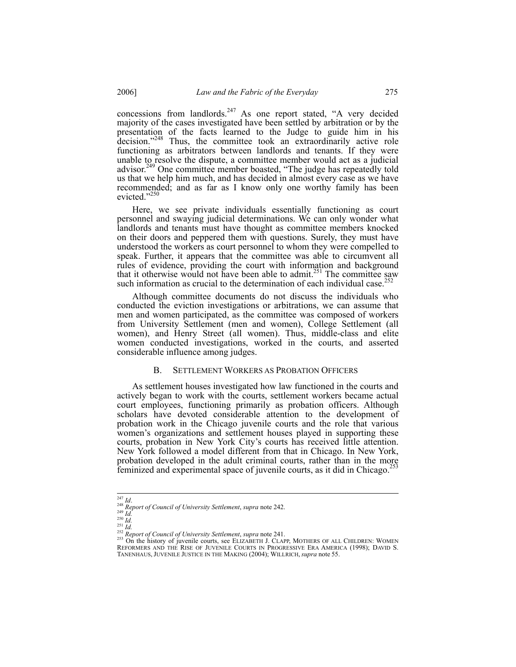concessions from landlords. $247$  As one report stated, "A very decided majority of the cases investigated have been settled by arbitration or by the presentation of the facts learned to the Judge to guide him in his decision."<sup>248</sup> Thus, the committee took an extraordinarily active role functioning as arbitrators between landlords and tenants. If they were unable to resolve the dispute, a committee member would act as a judicial advisor.<sup>249</sup> One committee member boasted, "The judge has repeatedly told us that we help him much, and has decided in almost every case as we have recommended; and as far as I know only one worthy family has been evicted."<sup>25</sup>

Here, we see private individuals essentially functioning as court personnel and swaying judicial determinations. We can only wonder what landlords and tenants must have thought as committee members knocked on their doors and peppered them with questions. Surely, they must have understood the workers as court personnel to whom they were compelled to speak. Further, it appears that the committee was able to circumvent all rules of evidence, providing the court with information and background that it otherwise would not have been able to admit.<sup>251</sup> The committee saw such information as crucial to the determination of each individual case.

Although committee documents do not discuss the individuals who conducted the eviction investigations or arbitrations, we can assume that men and women participated, as the committee was composed of workers from University Settlement (men and women), College Settlement (all women), and Henry Street (all women). Thus, middle-class and elite women conducted investigations, worked in the courts, and asserted considerable influence among judges.

## B. SETTLEMENT WORKERS AS PROBATION OFFICERS

As settlement houses investigated how law functioned in the courts and actively began to work with the courts, settlement workers became actual court employees, functioning primarily as probation officers. Although scholars have devoted considerable attention to the development of probation work in the Chicago juvenile courts and the role that various women's organizations and settlement houses played in supporting these courts, probation in New York City's courts has received little attention. New York followed a model different from that in Chicago. In New York, probation developed in the adult criminal courts, rather than in the more feminized and experimental space of juvenile courts, as it did in Chicago.<sup>2</sup>

<sup>&</sup>lt;sup>247</sup> Id.<br><sup>248</sup> Report of Council of University Settlement, supra note 242.<br><sup>249</sup> Id.<br><sup>250</sup> Id.<br><sup>251</sup> Id.<br><sup>252</sup> Report of Council of University Settlement, supra note 241.

Export of Council of Oniversity Settement, supra flote 241.<br>253 On the history of juvenile courts, see ELIZABETH J. CLAPP, MOTHERS OF ALL CHILDREN: WOMEN<br>REFORMERS AND THE RISE OF JUVENILE COURTS IN PROGRESSIVE ERA AMERICA TANENHAUS, JUVENILE JUSTICE IN THE MAKING (2004); WILLRICH, *supra* note 55.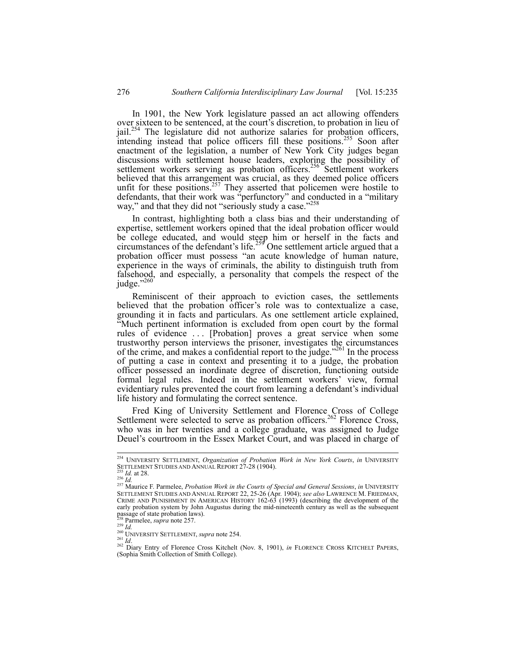In 1901, the New York legislature passed an act allowing offenders over sixteen to be sentenced, at the court's discretion, to probation in lieu of  $j$ ail.<sup>254</sup> The legislature did not authorize salaries for probation officers, intending instead that police officers fill these positions.<sup>255</sup> Soon after enactment of the legislation, a number of New York City judges began discussions with settlement house leaders, exploring the possibility of settlement workers serving as probation officers.<sup>256</sup> Settlement workers believed that this arrangement was crucial, as they deemed police officers unfit for these positions.<sup>257</sup> They asserted that policemen were hostile to defendants, that their work was "perfunctory" and conducted in a "military way," and that they did not "seriously study a case."

In contrast, highlighting both a class bias and their understanding of expertise, settlement workers opined that the ideal probation officer would be college educated, and would steep him or herself in the facts and circumstances of the defendant's life.<sup>259</sup> One settlement article argued that a probation officer must possess "an acute knowledge of human nature, experience in the ways of criminals, the ability to distinguish truth from falsehood, and especially, a personality that compels the respect of the judge." $^{260}$ 

Reminiscent of their approach to eviction cases, the settlements believed that the probation officer's role was to contextualize a case, grounding it in facts and particulars. As one settlement article explained, "Much pertinent information is excluded from open court by the formal rules of evidence . . . [Probation] proves a great service when some trustworthy person interviews the prisoner, investigates the circumstances of the crime, and makes a confidential report to the judge."<sup>261</sup> In the process of putting a case in context and presenting it to a judge, the probation officer possessed an inordinate degree of discretion, functioning outside formal legal rules. Indeed in the settlement workers' view, formal evidentiary rules prevented the court from learning a defendant's individual life history and formulating the correct sentence.

Fred King of University Settlement and Florence Cross of College Settlement were selected to serve as probation officers.<sup>262</sup> Florence Cross, who was in her twenties and a college graduate, was assigned to Judge Deuel's courtroom in the Essex Market Court, and was placed in charge of

<sup>&</sup>lt;sup>254</sup> UNIVERSITY SETTLEMENT, *Organization of Probation Work in New York Courts*, *in* UNIVERSITY<br>SETTLEMENT STUDIES AND ANNUAL REPORT 27-28 (1904).

<sup>&</sup>lt;sup>255</sup> *Id.* at 28. <sup>256</sup> *Id. at* 28. *Probation Work in the Courts of Special and General Sessions, in* **UNIVERSITY SETTLEMENT STUDIES AND ANNUAL REPORT 22, 25-26 (Apr. 1904);** *see also* **LAWRENCE M. FRIEDMAN,** CRIME AND PUNISHMENT IN AMERICAN HISTORY 162-63 (1993)<sup></sup> (describing the development of the early probation system by John Augustus during the mid-nineteenth century as well as the subsequent passage of state probation laws).<br><sup>258</sup> Parmelee, *supra* note 257.

<sup>&</sup>lt;sup>259</sup> *Id.* <sup>260</sup> UNIVERSITY SETTLEMENT, *supra* note 254. <sup>260</sup> UNIVERSITY SETTLEMENT, *supra* note 254. <sup>262</sup> Diary Entry of Florence Cross Kitchelt (Nov. 8, 1901), *in* FLORENCE CROSS KITCHELT PAPERS, (Sophia Smith Collection of Smith College).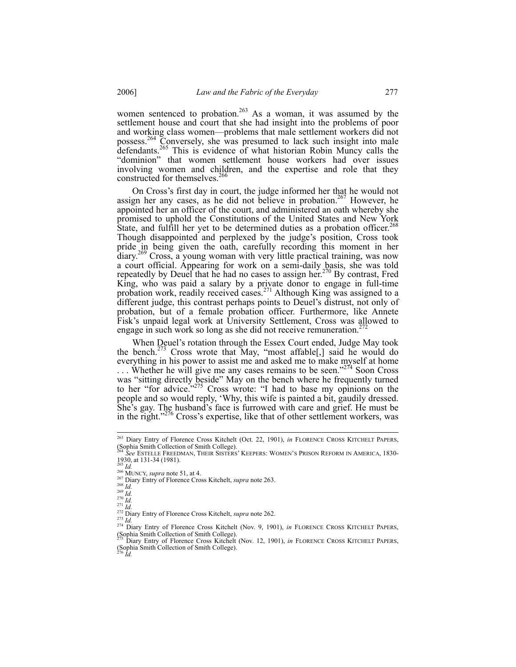women sentenced to probation.<sup>263</sup> As a woman, it was assumed by the settlement house and court that she had insight into the problems of poor and working class women—problems that male settlement workers did not possess.264 Conversely, she was presumed to lack such insight into male defendants.<sup>265</sup> This is evidence of what historian Robin Muncy calls the "dominion" that women settlement house workers had over issues involving women and children, and the expertise and role that they constructed for themselves.<sup>266</sup>

On Cross's first day in court, the judge informed her that he would not assign her any cases, as he did not believe in probation.<sup>267</sup> However, he appointed her an officer of the court, and administered an oath whereby she promised to uphold the Constitutions of the United States and New York State, and fulfill her yet to be determined duties as a probation officer.<sup>268</sup> Though disappointed and perplexed by the judge's position, Cross took pride in being given the oath, carefully recording this moment in her diary.<sup>269</sup> Cross, a young woman with very little practical training, was now a court official. Appearing for work on a semi-daily basis, she was told repeatedly by Deuel that he had no cases to assign her.<sup>270</sup> By contrast, Fred King, who was paid a salary by a private donor to engage in full-time probation work, readily received cases.271 Although King was assigned to a different judge, this contrast perhaps points to Deuel's distrust, not only of probation, but of a female probation officer. Furthermore, like Annete Fisk's unpaid legal work at University Settlement, Cross was allowed to engage in such work so long as she did not receive remuneration.<sup>2</sup>

When Deuel's rotation through the Essex Court ended, Judge May took the bench.<sup>273</sup> Cross wrote that May, "most affable[,] said he would do everything in his power to assist me and asked me to make myself at home  $\dots$  Whether he will give me any cases remains to be seen."<sup>274</sup> Soon Cross was "sitting directly beside" May on the bench where he frequently turned to her "for advice."275 Cross wrote: "I had to base my opinions on the people and so would reply, 'Why, this wife is painted a bit, gaudily dressed. She's gay. The husband's face is furrowed with care and grief. He must be in the right."276 Cross's expertise, like that of other settlement workers, was

 <sup>263</sup> Diary Entry of Florence Cross Kitchelt (Oct. 22, 1901), *in* FLORENCE CROSS KITCHELT PAPERS, (Sophia Smith Collection of Smith College).

<sup>&</sup>lt;sup>264</sup> *See* ESTELLE FREEDMAN, THEIR SISTERS' KEEPERS: WOMEN'S PRISON REFORM IN AMERICA, 1830-<br>1930, at 131-34 (1981).<br><sup>265</sup> *Id.*<br><sup>266</sup> MUNCY, *supra* note 51, at 4.

<sup>267</sup> Diary Entry of Florence Cross Kitchelt, *supra* note 263.<br>
268 Id.<br>
270 Id.<br>
270 Id.<br>
271 Id.<br>
271 Id.<br>
271 Diary Entry of Florence Cross Kitchelt, *supra* note 262.<br>
272 Diary Entry of Florence Cross Kitchelt (Nov. 9

<sup>(</sup>Sophia Smith Collection of Smith College). 275 Diary Entry of Florence Cross Kitchelt (Nov. 12, 1901), *in* FLORENCE CROSS KITCHELT PAPERS, (Sophia Smith Collection of Smith College). <sup>276</sup> *Id.*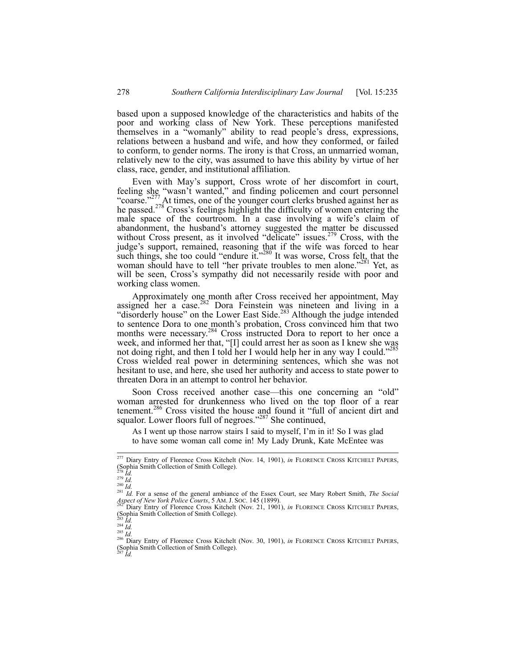based upon a supposed knowledge of the characteristics and habits of the poor and working class of New York. These perceptions manifested themselves in a "womanly" ability to read people's dress, expressions, relations between a husband and wife, and how they conformed, or failed to conform, to gender norms. The irony is that Cross, an unmarried woman, relatively new to the city, was assumed to have this ability by virtue of her class, race, gender, and institutional affiliation.

Even with May's support, Cross wrote of her discomfort in court, feeling she "wasn't wanted," and finding policemen and court personnel "coarse."<sup>277</sup> At times, one of the younger court clerks brushed against her as he passed.<sup>278</sup> Cross's feelings highlight the difficulty of women entering the male space of the courtroom. In a case involving a wife's claim of abandonment, the husband's attorney suggested the matter be discussed without Cross present, as it involved "delicate" issues.<sup>279</sup> Cross, with the judge's support, remained, reasoning that if the wife was forced to hear such things, she too could "endure it."<sup>280</sup> It was worse, Cross felt, that the woman should have to tell "her private troubles to men alone."<sup>281</sup> Yet, as will be seen, Cross's sympathy did not necessarily reside with poor and working class women.

Approximately one month after Cross received her appointment, May assigned her a case.<sup>282</sup> Dora Feinstein was nineteen and living in a "disorderly house" on the Lower East Side.<sup>283</sup> Although the judge intended to sentence Dora to one month's probation, Cross convinced him that two months were necessary.<sup>284</sup> Cross instructed Dora to report to her once a week, and informed her that, "[I] could arrest her as soon as I knew she was not doing right, and then I told her I would help her in any way I could."285 Cross wielded real power in determining sentences, which she was not hesitant to use, and here, she used her authority and access to state power to threaten Dora in an attempt to control her behavior.

Soon Cross received another case—this one concerning an "old" woman arrested for drunkenness who lived on the top floor of a rear tenement.<sup>286</sup> Cross visited the house and found it "full of ancient dirt and squalor. Lower floors full of negroes."<sup>287</sup> She continued,

As I went up those narrow stairs I said to myself, I'm in it! So I was glad to have some woman call come in! My Lady Drunk, Kate McEntee was

<sup>&</sup>lt;sup>277</sup> Diary Entry of Florence Cross Kitchelt (Nov. 14, 1901), *in* FLORENCE CROSS KITCHELT PAPERS, (Sophia Smith Collection of Smith College).

<sup>&</sup>lt;sup>278</sup> *Id.*<br><sup>279</sup> *Id.*<br><sup>280</sup> *Id.* For a sense of the general ambiance of the Essex Court, see Mary Robert Smith, *The Social* <sup>281</sup> *Id.* For a sense of the general ambiance of the Essex Court, see Mary Robert Smith, *Th Aspect of New York Police Courts*, 5 AM. J. SOC. 145 (1899). 282 Diary Entry of Florence Cross Kitchelt (Nov. 21, 1901), *in* FLORENCE CROSS KITCHELT PAPERS,

<sup>(</sup>Sophia Smith Collection of Smith College).

<sup>283</sup> *Id.*<br><sup>284</sup> *Id.*<br><sup>286</sup> *Id.*<br><sup>286</sup> Diary Entry of Florence Cross Kitchelt (Nov. 30, 1901), *in* FLORENCE CROSS KITCHELT PAPERS,<br>(Sophia Smith Collection of Smith College). <sup>287</sup> *Id.*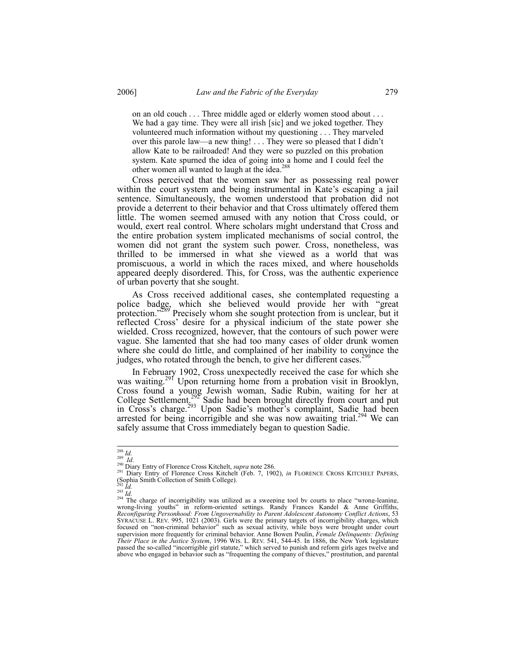on an old couch . . . Three middle aged or elderly women stood about . . . We had a gay time. They were all irish [sic] and we joked together. They volunteered much information without my questioning . . . They marveled over this parole law—a new thing! . . . They were so pleased that I didn't allow Kate to be railroaded! And they were so puzzled on this probation system. Kate spurned the idea of going into a home and I could feel the other women all wanted to laugh at the idea.<sup>288</sup>

Cross perceived that the women saw her as possessing real power within the court system and being instrumental in Kate's escaping a jail sentence. Simultaneously, the women understood that probation did not provide a deterrent to their behavior and that Cross ultimately offered them little. The women seemed amused with any notion that Cross could, or would, exert real control. Where scholars might understand that Cross and the entire probation system implicated mechanisms of social control, the women did not grant the system such power. Cross, nonetheless, was thrilled to be immersed in what she viewed as a world that was promiscuous, a world in which the races mixed, and where households appeared deeply disordered. This, for Cross, was the authentic experience of urban poverty that she sought.

As Cross received additional cases, she contemplated requesting a police badge, which she believed would provide her with "great protection."<sup>289</sup> Precisely whom she sought protection from is unclear, but it reflected Cross' desire for a physical indicium of the state power she wielded. Cross recognized, however, that the contours of such power were vague. She lamented that she had too many cases of older drunk women where she could do little, and complained of her inability to convince the judges, who rotated through the bench, to give her different cases.<sup>290</sup>

In February 1902, Cross unexpectedly received the case for which she was waiting.<sup>291</sup> Upon returning home from a probation visit in Brooklyn, Cross found a young Jewish woman, Sadie Rubin, waiting for her at College Settlement.<sup>292</sup> Sadie had been brought directly from court and put in Cross's charge.<sup>293</sup> Upon Sadie's mother's complaint, Sadie had been arrested for being incorrigible and she was now awaiting trial.<sup>294</sup> We can safely assume that Cross immediately began to question Sadie.

<sup>&</sup>lt;sup>288</sup> *Id.*<br><sup>290</sup> Diary Entry of Florence Cross Kitchelt, *supra* note 286.<br><sup>290</sup> Diary Entry of Florence Cross Kitchelt (Feb. 7, 1902), *in* FLORENCE CROSS KITCHELT PAPERS,<br>(Sophia Smith Collection of Smith College).

<sup>&</sup>lt;sup>292</sup> *Id.*<br><sup>293</sup> *Id.* 203 *Id.* 204 The charge of incorrigibility was utilized as a sweeping tool by courts to place "wrong-leaning.<br>204 The charge of incorrigibility was utilized as a sweeping tool by courts to place "w *Reconfiguring Personhood: From Ungovernability to Parent Adolescent Autonomy Conflict Actions*, 53 SYRACUSE L. REV. 995, 1021 (2003). Girls were the primary targets of incorrigibility charges, which focused on "non-criminal behavior" such as sexual activity, while boys were brought under court supervision more frequently for criminal behavior. Anne Bowen Poulin, *Female Delinquents: Defining Their Place in the Justice System*, 1996 WIS. L. REV. 541, 544-45. In 1886, the New York legislature passed the so-called "incorrigible girl statute," which served to punish and reform girls ages twelve and above who engaged in behavior such as "frequenting the company of thieves," prostitution, and parental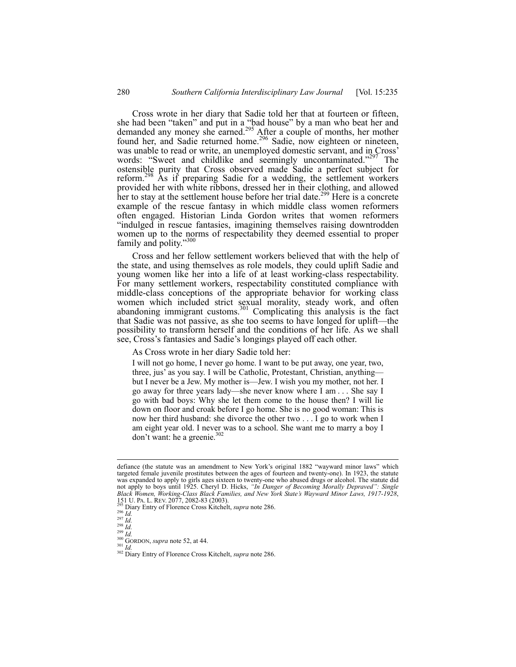Cross wrote in her diary that Sadie told her that at fourteen or fifteen, she had been "taken" and put in a "bad house" by a man who beat her and demanded any money she earned.<sup>295</sup> After a couple of months, her mother found her, and Sadie returned home.<sup>296</sup> Sadie, now eighteen or nineteen, was unable to read or write, an unemployed domestic servant, and in Cross' words: "Sweet and childlike and seemingly uncontaminated."<sup>297</sup> The ostensible purity that Cross observed made Sadie a perfect subject for reform.<sup>298</sup> As if preparing Sadie for a wedding, the settlement workers provided her with white ribbons, dressed her in their clothing, and allowed her to stay at the settlement house before her trial date.<sup>299</sup> Here is a concrete example of the rescue fantasy in which middle class women reformers often engaged. Historian Linda Gordon writes that women reformers "indulged in rescue fantasies, imagining themselves raising downtrodden women up to the norms of respectability they deemed essential to proper family and polity."<sup>300</sup>

Cross and her fellow settlement workers believed that with the help of the state, and using themselves as role models, they could uplift Sadie and young women like her into a life of at least working-class respectability. For many settlement workers, respectability constituted compliance with middle-class conceptions of the appropriate behavior for working class women which included strict sexual morality, steady work, and often abandoning immigrant customs. $301$  Complicating this analysis is the fact that Sadie was not passive, as she too seems to have longed for uplift—the possibility to transform herself and the conditions of her life. As we shall see, Cross's fantasies and Sadie's longings played off each other.

As Cross wrote in her diary Sadie told her:

I will not go home, I never go home. I want to be put away, one year, two, three, jus' as you say. I will be Catholic, Protestant, Christian, anything but I never be a Jew. My mother is—Jew. I wish you my mother, not her. I go away for three years lady—she never know where I am . . . She say I go with bad boys: Why she let them come to the house then? I will lie down on floor and croak before I go home. She is no good woman: This is now her third husband: she divorce the other two . . . I go to work when I am eight year old. I never was to a school. She want me to marry a boy I don't want: he a greenie.<sup>302</sup>

defiance (the statute was an amendment to New York's original 1882 "wayward minor laws" which targeted female juvenile prostitutes between the ages of fourteen and twenty-one). In 1923, the statute was expanded to apply to girls ages sixteen to twenty-one who abused drugs or alcohol. The statute did not apply to boys until 1925. Cheryl D. Hicks, *"In Danger of Becoming Morally Depraved": Single Black Women, Working-Class Black Families, and New York State's Wayward Minor Laws, 1917-1928*,

<sup>&</sup>lt;sup>295</sup> Diary Entry of Florence Cross Kitchelt, *supra* note 286.<br>
<sup>296</sup> Id.<br>
<sup>297</sup> Id.<br>
<sup>298</sup> Id.<br>
<sup>298</sup> Id.<br>
<sup>299</sup> Id.<br>
<sup>299</sup> Id.<br>
<sup>299</sup> Id.<br>
<sup>302</sup> GORDON, *supra* note 52, at 44.<br>
<sup>301</sup> Id.<br>
<sup>302</sup> Diary Entry of Florence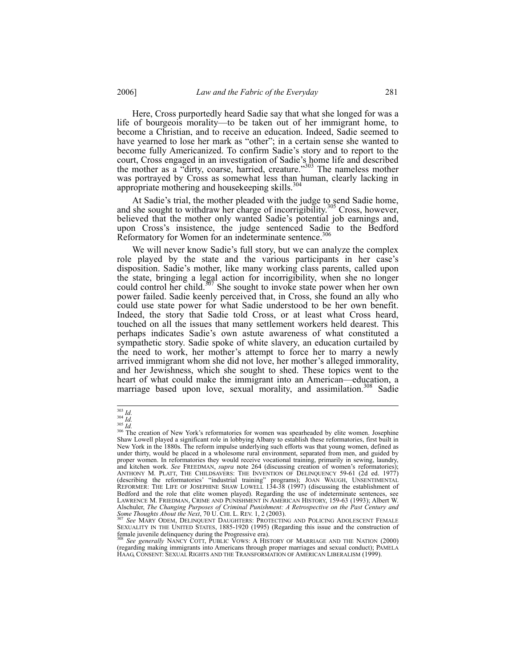Here, Cross purportedly heard Sadie say that what she longed for was a life of bourgeois morality—to be taken out of her immigrant home, to become a Christian, and to receive an education. Indeed, Sadie seemed to have yearned to lose her mark as "other"; in a certain sense she wanted to become fully Americanized. To confirm Sadie's story and to report to the court, Cross engaged in an investigation of Sadie's home life and described the mother as a "dirty, coarse, harried, creature."<sup>303</sup> The nameless mother was portrayed by Cross as somewhat less than human, clearly lacking in appropriate mothering and housekeeping skills.

At Sadie's trial, the mother pleaded with the judge to send Sadie home, and she sought to withdraw her charge of incorrigibility.<sup>305</sup> Cross, however, believed that the mother only wanted Sadie's potential job earnings and, upon Cross's insistence, the judge sentenced Sadie to the Bedford Reformatory for Women for an indeterminate sentence.<sup>3</sup>

We will never know Sadie's full story, but we can analyze the complex role played by the state and the various participants in her case's disposition. Sadie's mother, like many working class parents, called upon the state, bringing a legal action for incorrigibility, when she no longer could control her child.<sup>307</sup> She sought to invoke state power when her own power failed. Sadie keenly perceived that, in Cross, she found an ally who could use state power for what Sadie understood to be her own benefit. Indeed, the story that Sadie told Cross, or at least what Cross heard, touched on all the issues that many settlement workers held dearest. This perhaps indicates Sadie's own astute awareness of what constituted a sympathetic story. Sadie spoke of white slavery, an education curtailed by the need to work, her mother's attempt to force her to marry a newly arrived immigrant whom she did not love, her mother's alleged immorality, and her Jewishness, which she sought to shed. These topics went to the heart of what could make the immigrant into an American—education, a marriage based upon love, sexual morality, and assimilation.<sup>308</sup> Sadie

<sup>&</sup>lt;sup>303</sup> *Id.*<br><sup>304</sup> *Id.*<br><sup>305</sup> *Id.*<br><sup>306</sup> *Id.*<br>Shaw Lowell played a significant role in lobbying Albany to establish these reformatories, first built in<br>Shaw Lowell played a significant role in lobbying Albany to establis under thirty, would be placed in a wholesome rural environment, separated from men, and guided by proper women. In reformatories they would receive vocational training, primarily in sewing, laundry, and kitchen work. *See* FREEDMAN, *supra* note 264 (discussing creation of women's reformatories); ANTHONY M. PLATT, THE CHILDSAVERS: THE INVENTION OF DELINQUENCY 59-61 (2d ed. 1977) (describing the reformatories' "industrial training" programs); JOAN WAUGH, UNSENTIMENTAL REFORMER: THE LIFE OF JOSEPHINE SHAW LOWELL 134-38 (1997) (discussing the establishment of Bedford and the role that elite women played). Regarding the use of indeterminate sentences, see LAWRENCE M. FRIEDMAN, CRIME AND PUNISHMENT IN AMERICAN HISTORY, 159-63 (1993); Albert W. Alschuler, *The Changing Purposes of Criminal Punishment: A Retrospective on the Past Century and Some Thoughts About the Next,* 70 U. CHI. L. REV. 1, 2 (2003).

**See MARY ODEM, DELINOUENT DAUGHTERS: PROTECTING AND POLICING ADOLESCENT FEMALE** SEXUALITY IN THE UNITED STATES, 1885-1920 (1995) (Regarding this issue and the construction of tenante juvenile delinquency during the Progressive era).

*See generally* NANCY COTT, PUBLIC VOWS: A HISTORY OF MARRIAGE AND THE NATION (2000). (regarding making immigrants into Americans through proper marriages and sexual conduct); PAMELA HAAG, CONSENT: SEXUAL RIGHTS AND THE TRANSFORMATION OF AMERICAN LIBERALISM (1999).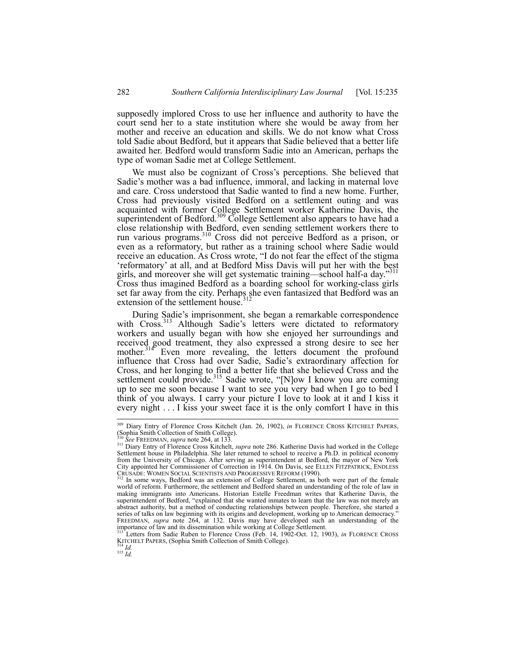supposedly implored Cross to use her influence and authority to have the court send her to a state institution where she would be away from her mother and receive an education and skills. We do not know what Cross told Sadie about Bedford, but it appears that Sadie believed that a better life awaited her. Bedford would transform Sadie into an American, perhaps the type of woman Sadie met at College Settlement.

We must also be cognizant of Cross's perceptions. She believed that Sadie's mother was a bad influence, immoral, and lacking in maternal love and care. Cross understood that Sadie wanted to find a new home. Further, Cross had previously visited Bedford on a settlement outing and was acquainted with former College Settlement worker Katherine Davis, the superintendent of Bedford.<sup>309</sup> College Settlement also appears to have had a close relationship with Bedford, even sending settlement workers there to run various programs.310 Cross did not perceive Bedford as a prison, or even as a reformatory, but rather as a training school where Sadie would receive an education. As Cross wrote, "I do not fear the effect of the stigma 'reformatory' at all, and at Bedford Miss Davis will put her with the best girls, and moreover she will get systematic training—school half-a day."<sup>311</sup> Cross thus imagined Bedford as a boarding school for working-class girls set far away from the city. Perhaps she even fantasized that Bedford was an extension of the settlement house.

During Sadie's imprisonment, she began a remarkable correspondence with Cross.<sup>313</sup> Although Sadie's letters were dictated to reformatory workers and usually began with how she enjoyed her surroundings and received good treatment, they also expressed a strong desire to see her mother.<sup>314</sup> Even more revealing, the letters document the profound influence that Cross had over Sadie, Sadie's extraordinary affection for Cross, and her longing to find a better life that she believed Cross and the settlement could provide.<sup>315</sup> Sadie wrote, "[N]ow I know you are coming up to see me soon because I want to see you very bad when I go to bed I think of you always. I carry your picture I love to look at it and I kiss it every night . . . I kiss your sweet face it is the only comfort I have in this

 <sup>309</sup> Diary Entry of Florence Cross Kitchelt (Jan. 26, 1902), *in* FLORENCE CROSS KITCHELT PAPERS, (Sophia Smith Collection of Smith College).<br><sup>310</sup> See FREEDMAN, *supra* note 264, at 133.

<sup>310</sup> *See* FREEDMAN, *supra* note 264, at 133. 311 Diary Entry of Florence Cross Kitchelt, *supra* note 286. Katherine Davis had worked in the College Settlement house in Philadelphia. She later returned to school to receive a Ph.D. in political economy from the University of Chicago. After serving as superintendent at Bedford, the mayor of New York City appointed her Commissioner of Correction in 1914. On Davis, see ELLEN FITZPATRICK, ENDLESS CRUSADE: WOMEN SOCIAL SCIENTISTS AND PROGRESSIVE REFORM (1990).<br><sup>312</sup> In some ways, Bedford was an extension of College Settlement, as both were part of the female

world of reform. Furthermore, the settlement and Bedford shared an understanding of the role of law in making immigrants into Americans. Historian Estelle Freedman writes that Katherine Davis, the superintendent of Bedford, "explained that she wanted inmates to learn that the law was not merely an abstract authority, but a method of conducting relationships between people. Therefore, she started a series of talks on law beginning with its origins and development, working up to American democracy. FREEDMAN, *supra* note 264, at 132. Davis may have developed such an understanding of the importance of law and its dissemination while working at College Settlement.<br><sup>313</sup> Letters from Sadie Ruben to Florence Cross (Feb.

KITCHELT PAPERS, (Sophia Smith Collection of Smith College).<br><sup>314</sup> *Id.* <sup>315</sup> *Id.*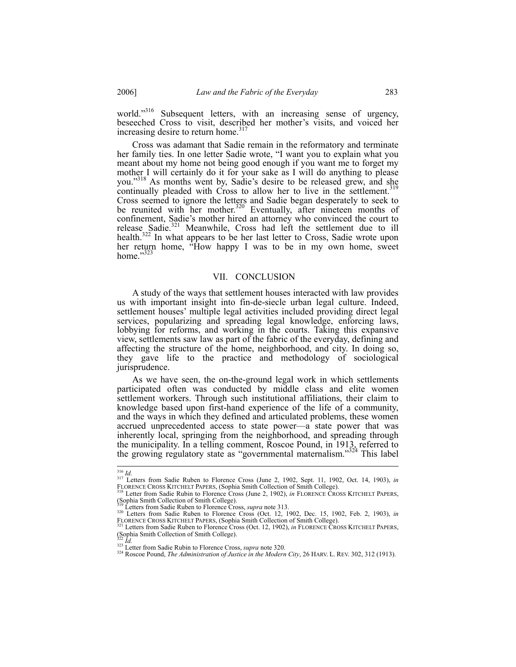world."<sup>316</sup> Subsequent letters, with an increasing sense of urgency, beseeched Cross to visit, described her mother's visits, and voiced her increasing desire to return home.<sup>317</sup>

Cross was adamant that Sadie remain in the reformatory and terminate her family ties. In one letter Sadie wrote, "I want you to explain what you meant about my home not being good enough if you want me to forget my mother I will certainly do it for your sake as I will do anything to please you."<sup>318</sup> As months went by, Sadie's desire to be released grew, and she continually pleaded with Cross to allow her to live in the settlement.<sup>319</sup> Cross seemed to ignore the letters and Sadie began desperately to seek to be reunited with her mother.<sup>320</sup> Eventually, after nineteen months of confinement, Sadie's mother hired an attorney who convinced the court to release Sadie.<sup>321</sup> Meanwhile, Cross had left the settlement due to ill health.<sup>322</sup> In what appears to be her last letter to Cross, Sadie wrote upon her return home, "How happy I was to be in my own home, sweet home."323

## VII. CONCLUSION

A study of the ways that settlement houses interacted with law provides us with important insight into fin-de-siecle urban legal culture. Indeed, settlement houses' multiple legal activities included providing direct legal services, popularizing and spreading legal knowledge, enforcing laws, lobbying for reforms, and working in the courts. Taking this expansive view, settlements saw law as part of the fabric of the everyday, defining and affecting the structure of the home, neighborhood, and city. In doing so, they gave life to the practice and methodology of sociological jurisprudence.

As we have seen, the on-the-ground legal work in which settlements participated often was conducted by middle class and elite women settlement workers. Through such institutional affiliations, their claim to knowledge based upon first-hand experience of the life of a community, and the ways in which they defined and articulated problems, these women accrued unprecedented access to state power—a state power that was inherently local, springing from the neighborhood, and spreading through the municipality. In a telling comment, Roscoe Pound, in 1913, referred to the growing regulatory state as "governmental maternalism."<sup>324</sup> This label

<sup>316</sup> *Id.* 317 Letters from Sadie Ruben to Florence Cross (June 2, 1902, Sept. 11, 1902, Oct. 14, 1903), *in* FLORENCE CROSS KITCHELT PAPERS, (Sophia Smith Collection of Smith College).<br><sup>318</sup> Letter from Sadie Rubin to Florence Cross (June 2, 1902), *in* FLORENCE CROSS KITCHELT PAPERS,

<sup>(</sup>Sophia Smith Collection of Smith College).<br> $319$  Letters from Sadie Ruben to Florence Cross, *supra* note 313.

<sup>&</sup>lt;sup>320</sup> Letters from Sadie Ruben to Florence Cross (Oct. 12, 1902, Dec. 15, 1902, Feb. 2, 1903), *in* FLORENCE CROSS KITCHELT PAPERS, (Sophia Smith Collection of Smith College).<br><sup>321</sup> Letters from Sadie Ruben to Florence Cross (Oct. 12, 1902), *in* FLORENCE CROSS KITCHELT PAPERS,

<sup>(</sup>Sophia Smith Collection of Smith College).<br> $322$  *Id* 

<sup>&</sup>lt;sup>323</sup> Letter from Sadie Rubin to Florence Cross, *supra* note 320.<br><sup>324</sup> Roscoe Pound, *The Administration of Justice in the Modern City*, 26 HARV. L. REV. 302, 312 (1913).